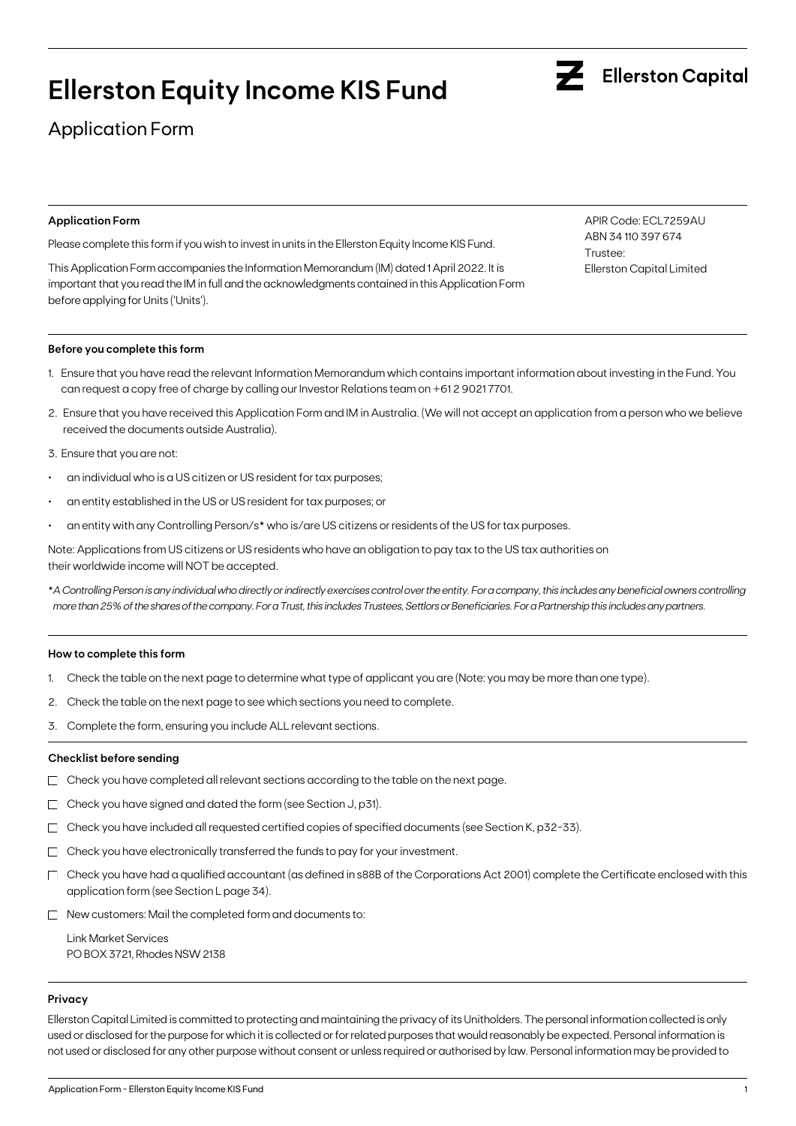# **Ellerston Equity Income KIS Fund**

## Application Form

#### **Application Form**

Please complete this form if you wish to invest in units in the Ellerston Equity Income KIS Fund.

This Application Form accompanies the Information Memorandum (IM) dated 1 April 2022. It is important that you read the IM in full and the acknowledgments contained in this Application Form before applying for Units ('Units').

#### **Before you complete this form**

- 1. Ensure that you have read the relevant Information Memorandum which contains important information about investing in the Fund. You can request a copy free of charge by calling our Investor Relations team on +61 2 9021 7701.
- 2. Ensure that you have received this Application Form and IM in Australia. (We will not accept an application from a person who we believe received the documents outside Australia).
- 3. Ensure that you are not:
- an individual who is a US citizen or US resident for tax purposes;
- an entity established in the US or US resident for tax purposes; or
- an entity with any Controlling Person/s\* who is/are US citizens or residents of the US for tax purposes.

Note: Applications from US citizens or US residents who have an obligation to pay tax to the US tax authorities on their worldwide income will NOT be accepted.

\**A Controlling Person is any individual who directly or indirectly exercises control over the entity. For a company, this includes any beneficial owners controlling more than 25% of the shares of the company. For a Trust, this includes Trustees, Settlors or Beneficiaries. For a Partnership this includes any partners.*

#### **How to complete this form**

- 1. Check the table on the next page to determine what type of applicant you are (Note: you may be more than one type).
- 2. Check the table on the next page to see which sections you need to complete.
- 3. Complete the form, ensuring you include ALL relevant sections.

#### **Checklist before sending**

- $\Box$  Check you have completed all relevant sections according to the table on the next page.
- $\Box$  Check you have signed and dated the form (see Section J, p31).
- $\Box$  Check you have included all requested certified copies of specified documents (see Section K, p32-33).
- $\Box$  Check you have electronically transferred the funds to pay for your investment.
- $\Box$  Check you have had a qualified accountant (as defined in s88B of the Corporations Act 2001) complete the Certificate enclosed with this application form (see Section L page 34).
- $\Box$  New customers: Mail the completed form and documents to:

Link Market Services PO BOX 3721, Rhodes NSW 2138

#### **Privacy**

Ellerston Capital Limited is committed to protecting and maintaining the privacy of its Unitholders. The personal information collected is only used or disclosed for the purpose for which it is collected or for related purposes that would reasonably be expected. Personal information is not used or disclosed for any other purpose without consent or unless required or authorised by law. Personal information may be provided to



APIR Code: ECL7259AU ABN 34 110 397 674 Trustee: Ellerston Capital Limited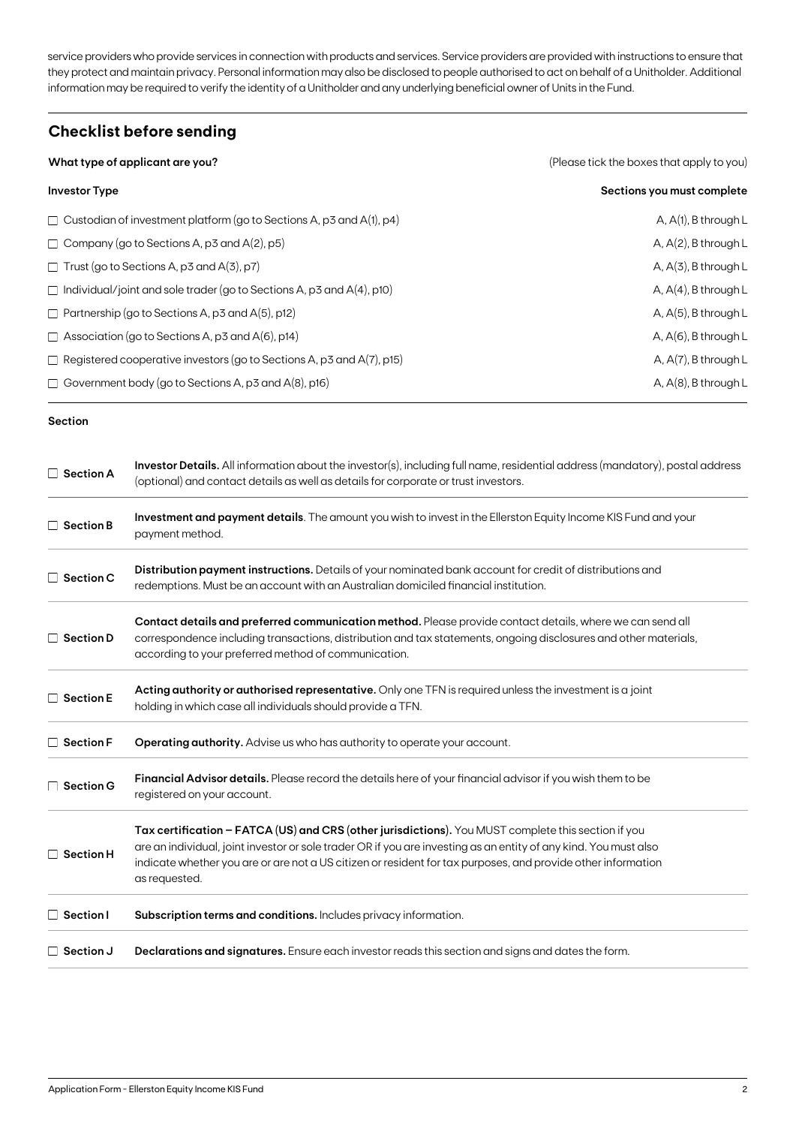service providers who provide services in connection with products and services. Service providers are provided with instructions to ensure that they protect and maintain privacy. Personal information may also be disclosed to people authorised to act on behalf of a Unitholder. Additional information may be required to verify the identity of a Unitholder and any underlying beneficial owner of Units in the Fund.

### **Checklist before sending**

| What type of applicant are you?                                              | (Please tick the boxes that apply to you) |  |  |
|------------------------------------------------------------------------------|-------------------------------------------|--|--|
| <b>Investor Type</b>                                                         | Sections you must complete                |  |  |
| $\Box$ Custodian of investment platform (go to Sections A, p3 and A(1), p4)  | $A, A(1), B$ through L                    |  |  |
| $\Box$ Company (go to Sections A, p3 and A(2), p5)                           | A, $A(2)$ , B through L                   |  |  |
| $\Box$ Trust (go to Sections A, p3 and A(3), p7)                             | $A, A(3), B$ through L                    |  |  |
| $\Box$ Individual/joint and sole trader (go to Sections A, p3 and A(4), p10) | A, $A(4)$ , B through L                   |  |  |
| $\Box$ Partnership (go to Sections A, p3 and A(5), p12)                      | A, $A(5)$ , B through L                   |  |  |
| $\Box$ Association (go to Sections A, p3 and A(6), p14)                      | $A, A(6), B$ through L                    |  |  |
| $\Box$ Registered cooperative investors (go to Sections A, p3 and A(7), p15) | A, $A(7)$ , B through L                   |  |  |
| $\Box$ Government body (go to Sections A, p3 and A(8), p16)                  | A, $A(8)$ , B through L                   |  |  |

#### **Section**

| $\Box$ Section A | Investor Details. All information about the investor(s), including full name, residential address (mandatory), postal address<br>(optional) and contact details as well as details for corporate or trust investors.                                                                                                                                     |
|------------------|----------------------------------------------------------------------------------------------------------------------------------------------------------------------------------------------------------------------------------------------------------------------------------------------------------------------------------------------------------|
| $\Box$ Section B | Investment and payment details. The amount you wish to invest in the Ellerston Equity Income KIS Fund and your<br>payment method.                                                                                                                                                                                                                        |
| $\Box$ Section C | Distribution payment instructions. Details of your nominated bank account for credit of distributions and<br>redemptions. Must be an account with an Australian domiciled financial institution.                                                                                                                                                         |
| $\Box$ Section D | Contact details and preferred communication method. Please provide contact details, where we can send all<br>correspondence including transactions, distribution and tax statements, ongoing disclosures and other materials,<br>according to your preferred method of communication.                                                                    |
| $\Box$ Section E | Acting authority or authorised representative. Only one TFN is required unless the investment is a joint<br>holding in which case all individuals should provide a TFN.                                                                                                                                                                                  |
| $\Box$ Section F | Operating authority. Advise us who has authority to operate your account.                                                                                                                                                                                                                                                                                |
| $\Box$ Section G | <b>Financial Advisor details.</b> Please record the details here of your financial advisor if you wish them to be<br>registered on your account.                                                                                                                                                                                                         |
| $\Box$ Section H | Tax certification - FATCA (US) and CRS (other jurisdictions). You MUST complete this section if you<br>are an individual, joint investor or sole trader OR if you are investing as an entity of any kind. You must also<br>indicate whether you are or are not a US citizen or resident for tax purposes, and provide other information<br>as requested. |
| $\Box$ Section I | Subscription terms and conditions. Includes privacy information.                                                                                                                                                                                                                                                                                         |
| $\Box$ Section J | <b>Declarations and signatures.</b> Ensure each investor reads this section and signs and dates the form.                                                                                                                                                                                                                                                |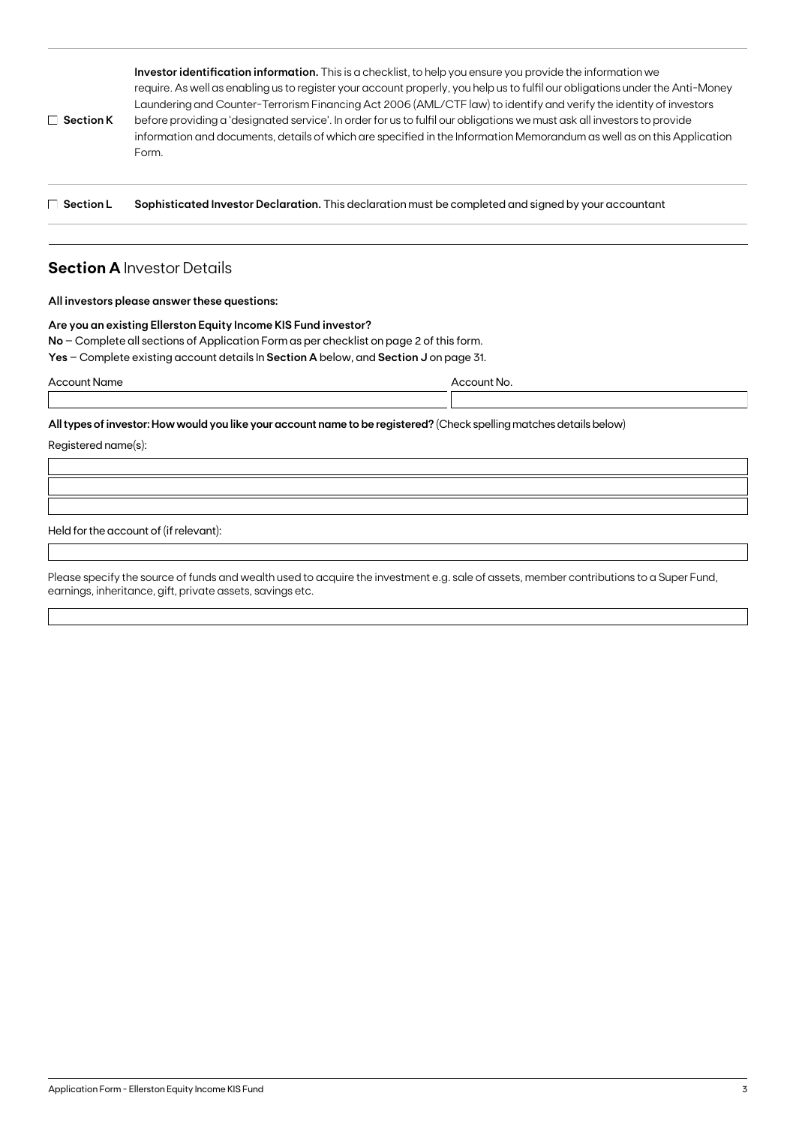| $\Box$ Section K | Investor identification information. This is a checklist, to help you ensure you provide the information we<br>require. As well as enabling us to register your account properly, you help us to fulfil our obligations under the Anti-Money<br>Laundering and Counter-Terrorism Financing Act 2006 (AML/CTF law) to identify and verify the identity of investors<br>before providing a 'designated service'. In order for us to fulfil our obligations we must ask all investors to provide<br>information and documents, details of which are specified in the Information Memorandum as well as on this Application<br>Form. |
|------------------|----------------------------------------------------------------------------------------------------------------------------------------------------------------------------------------------------------------------------------------------------------------------------------------------------------------------------------------------------------------------------------------------------------------------------------------------------------------------------------------------------------------------------------------------------------------------------------------------------------------------------------|
|                  |                                                                                                                                                                                                                                                                                                                                                                                                                                                                                                                                                                                                                                  |

**Section L Sophisticated Investor Declaration.** This declaration must be completed and signed by your accountant

### **Section A** Investor Details

#### **All investors please answer these questions:**

#### **Are you an existing Ellerston Equity Income KIS Fund investor?**

**No** – Complete all sections of Application Form as per checklist on page 2 of this form.

**Yes** – Complete existing account details In **Section A** below, and **Section J** on page 31.

| Account Name |  |  |
|--------------|--|--|
|              |  |  |

Account No.

**All types of investor: How would you like your account name to be registered?** (Check spelling matches details below)

Registered name(s):

Held for the account of (if relevant):

Please specify the source of funds and wealth used to acquire the investment e.g. sale of assets, member contributions to a Super Fund, earnings, inheritance, gift, private assets, savings etc.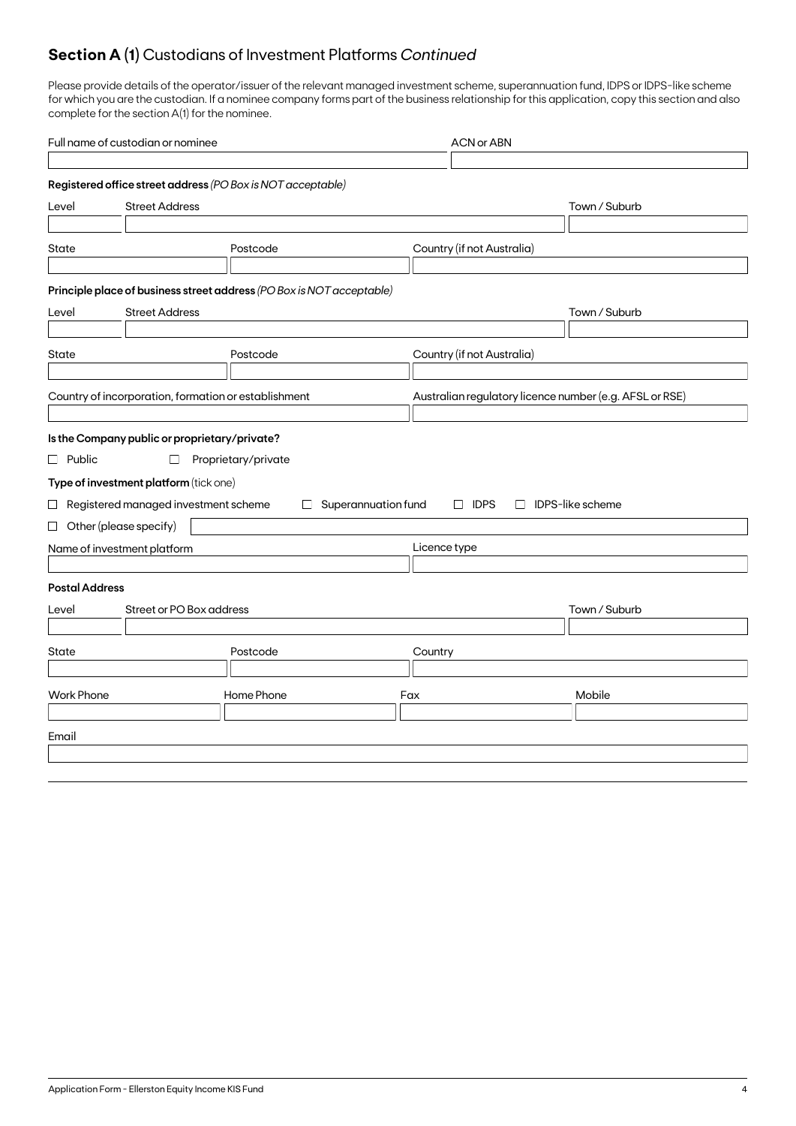### **Section A (1)** Custodians of Investment Platforms *Continued*

Please provide details of the operator/issuer of the relevant managed investment scheme, superannuation fund, IDPS or IDPS-like scheme for which you are the custodian. If a nominee company forms part of the business relationship for this application, copy this section and also complete for the section A(1) for the nominee.

| Full name of custodian or nominee                                     |                               | <b>ACN or ABN</b>                                       |               |  |  |
|-----------------------------------------------------------------------|-------------------------------|---------------------------------------------------------|---------------|--|--|
|                                                                       |                               |                                                         |               |  |  |
| Registered office street address (PO Box is NOT acceptable)           |                               |                                                         |               |  |  |
| <b>Street Address</b><br>Level                                        |                               |                                                         | Town / Suburb |  |  |
|                                                                       |                               |                                                         |               |  |  |
| State                                                                 | Postcode                      | Country (if not Australia)                              |               |  |  |
|                                                                       |                               |                                                         |               |  |  |
| Principle place of business street address (PO Box is NOT acceptable) |                               |                                                         |               |  |  |
| <b>Street Address</b><br>Level                                        |                               |                                                         | Town / Suburb |  |  |
|                                                                       |                               |                                                         |               |  |  |
| State                                                                 | Postcode                      | Country (if not Australia)                              |               |  |  |
|                                                                       |                               |                                                         |               |  |  |
| Country of incorporation, formation or establishment                  |                               | Australian regulatory licence number (e.g. AFSL or RSE) |               |  |  |
|                                                                       |                               |                                                         |               |  |  |
| Is the Company public or proprietary/private?                         |                               |                                                         |               |  |  |
| $\Box$ Public<br>$\Box$                                               | Proprietary/private           |                                                         |               |  |  |
| Type of investment platform (tick one)                                |                               |                                                         |               |  |  |
| $\Box$ Registered managed investment scheme                           | Superannuation fund<br>$\Box$ | $\Box$ IDPS-like scheme<br>$\Box$ IDPS                  |               |  |  |
| $\Box$ Other (please specify)                                         |                               |                                                         |               |  |  |
|                                                                       |                               | Licence type                                            |               |  |  |
| Name of investment platform                                           |                               |                                                         |               |  |  |
| <b>Postal Address</b>                                                 |                               |                                                         |               |  |  |
|                                                                       |                               |                                                         |               |  |  |
| Street or PO Box address<br>Level                                     |                               |                                                         | Town / Suburb |  |  |
|                                                                       |                               |                                                         |               |  |  |
| State                                                                 | Postcode                      | Country                                                 |               |  |  |
|                                                                       |                               |                                                         |               |  |  |
| <b>Work Phone</b>                                                     | Home Phone                    | Fax                                                     | Mobile        |  |  |
|                                                                       |                               |                                                         |               |  |  |
| Email                                                                 |                               |                                                         |               |  |  |
|                                                                       |                               |                                                         |               |  |  |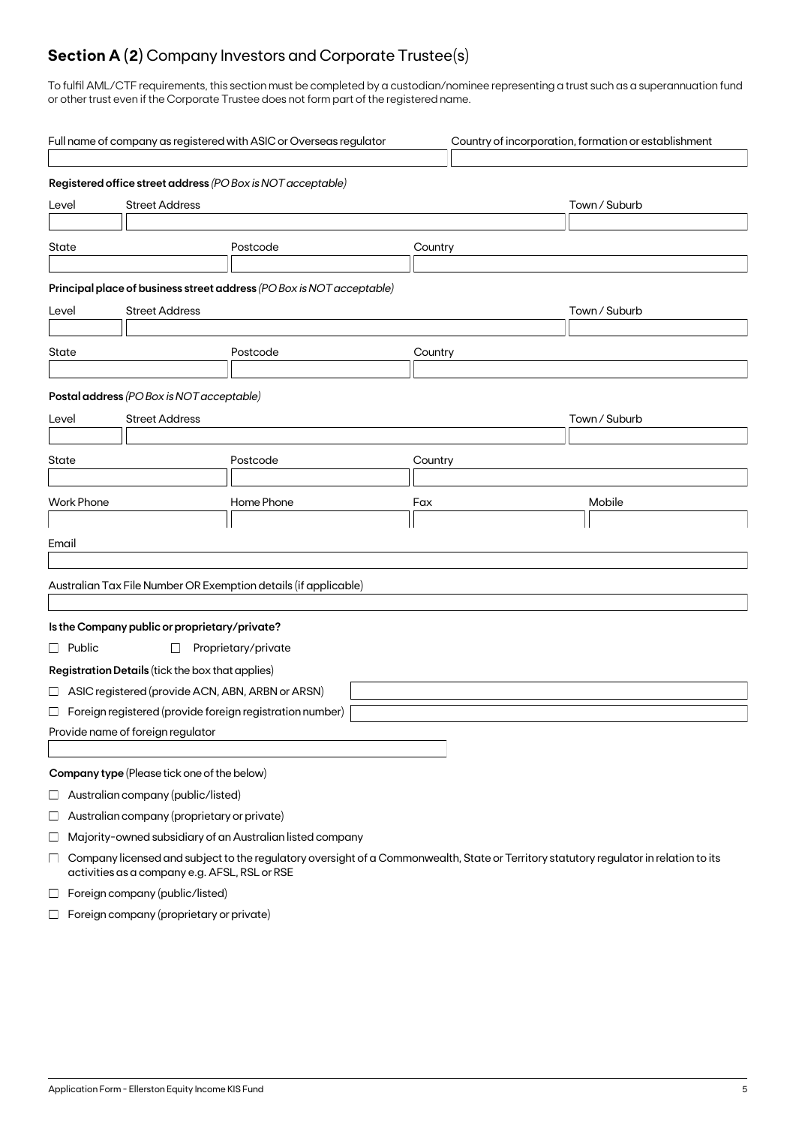## **Section A (2)** Company Investors and Corporate Trustee(s)

To fulfil AML/CTF requirements, this section must be completed by a custodian/nominee representing a trust such as a superannuation fund or other trust even if the Corporate Trustee does not form part of the registered name.

|          |                                 |                                                    | Full name of company as registered with ASIC or Overseas regulator                                                                    |         |  | Country of incorporation, formation or establishment |
|----------|---------------------------------|----------------------------------------------------|---------------------------------------------------------------------------------------------------------------------------------------|---------|--|------------------------------------------------------|
|          |                                 |                                                    | Registered office street address (PO Box is NOT acceptable)                                                                           |         |  |                                                      |
|          | <b>Street Address</b><br>Level  |                                                    |                                                                                                                                       |         |  | Town / Suburb                                        |
|          |                                 |                                                    |                                                                                                                                       |         |  |                                                      |
| State    |                                 |                                                    | Postcode                                                                                                                              | Country |  |                                                      |
|          |                                 |                                                    |                                                                                                                                       |         |  |                                                      |
|          |                                 |                                                    | Principal place of business street address (PO Box is NOT acceptable)                                                                 |         |  |                                                      |
| Level    |                                 | <b>Street Address</b>                              |                                                                                                                                       |         |  | Town / Suburb                                        |
|          |                                 |                                                    |                                                                                                                                       |         |  |                                                      |
| State    |                                 |                                                    | Postcode                                                                                                                              | Country |  |                                                      |
|          |                                 |                                                    |                                                                                                                                       |         |  |                                                      |
|          |                                 | Postal address (PO Box is NOT acceptable)          |                                                                                                                                       |         |  |                                                      |
| Level    |                                 | <b>Street Address</b>                              |                                                                                                                                       |         |  | Town / Suburb                                        |
|          |                                 |                                                    |                                                                                                                                       |         |  |                                                      |
| State    |                                 |                                                    | Postcode                                                                                                                              | Country |  |                                                      |
|          | <b>Work Phone</b>               |                                                    | Home Phone                                                                                                                            | Fax     |  | Mobile                                               |
|          |                                 |                                                    |                                                                                                                                       |         |  |                                                      |
| Email    |                                 |                                                    |                                                                                                                                       |         |  |                                                      |
|          |                                 |                                                    |                                                                                                                                       |         |  |                                                      |
|          |                                 |                                                    | Australian Tax File Number OR Exemption details (if applicable)                                                                       |         |  |                                                      |
|          |                                 |                                                    |                                                                                                                                       |         |  |                                                      |
|          |                                 | Is the Company public or proprietary/private?      |                                                                                                                                       |         |  |                                                      |
|          | $\Box$ Public                   | $\Box$                                             | Proprietary/private                                                                                                                   |         |  |                                                      |
|          |                                 | Registration Details (tick the box that applies)   |                                                                                                                                       |         |  |                                                      |
|          |                                 | □ ASIC registered (provide ACN, ABN, ARBN or ARSN) |                                                                                                                                       |         |  |                                                      |
|          |                                 |                                                    | $\Box$ Foreign registered (provide foreign registration number)                                                                       |         |  |                                                      |
|          |                                 | Provide name of foreign regulator                  |                                                                                                                                       |         |  |                                                      |
|          |                                 |                                                    |                                                                                                                                       |         |  |                                                      |
|          |                                 | Company type (Please tick one of the below)        |                                                                                                                                       |         |  |                                                      |
| $\sqcup$ |                                 | Australian company (public/listed)                 |                                                                                                                                       |         |  |                                                      |
| $\sqcup$ |                                 | Australian company (proprietary or private)        |                                                                                                                                       |         |  |                                                      |
| ⊔        |                                 |                                                    | Majority-owned subsidiary of an Australian listed company                                                                             |         |  |                                                      |
| $\Box$   |                                 | activities as a company e.g. AFSL, RSL or RSE      | Company licensed and subject to the regulatory oversight of a Commonwealth, State or Territory statutory regulator in relation to its |         |  |                                                      |
| $\Box$   | Foreign company (public/listed) |                                                    |                                                                                                                                       |         |  |                                                      |

 $\Box$  Foreign company (proprietary or private)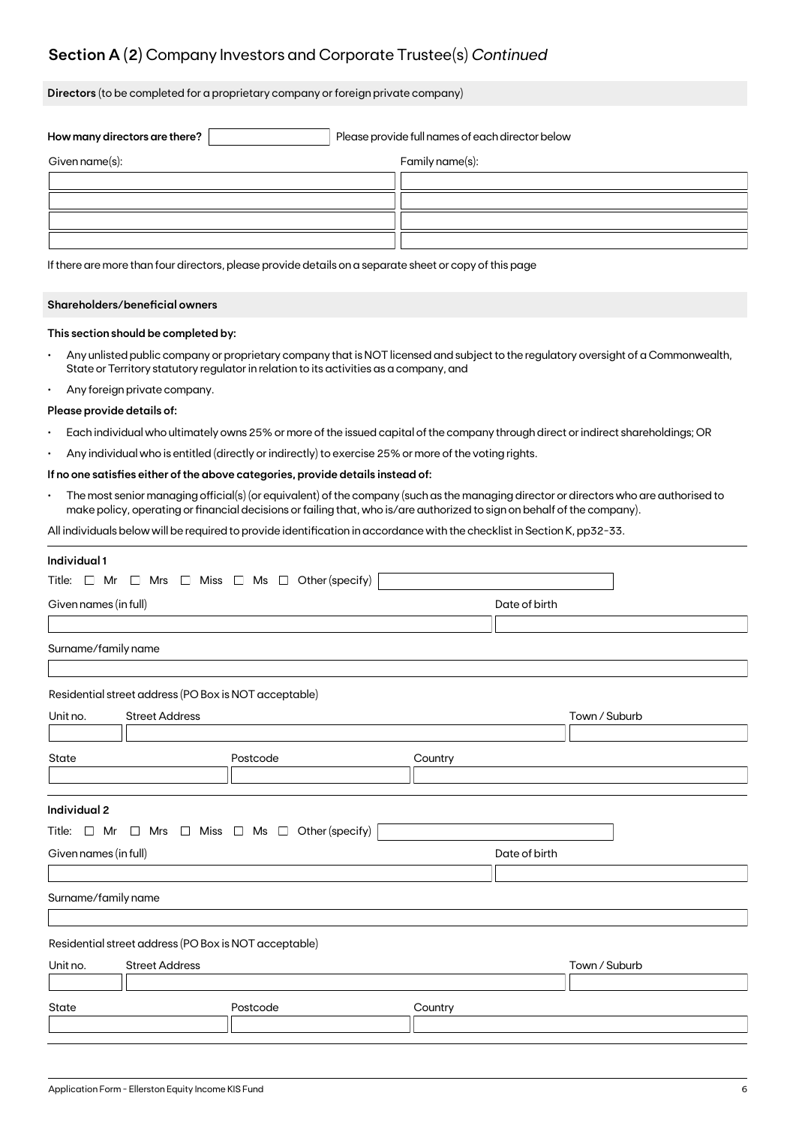### **Section A (2)** Company Investors and Corporate Trustee(s) *Continued*

**Directors** (to be completed for a proprietary company or foreign private company)

| How many directors are there? | Please provide full names of each director below |                 |  |
|-------------------------------|--------------------------------------------------|-----------------|--|
| Given name(s):                |                                                  | Family name(s): |  |
|                               |                                                  |                 |  |
|                               |                                                  |                 |  |
|                               |                                                  |                 |  |
|                               |                                                  |                 |  |

If there are more than four directors, please provide details on a separate sheet or copy of this page

#### **Shareholders/beneficial owners**

#### **This section should be completed by:**

- Any unlisted public company or proprietary company that is NOT licensed and subject to the regulatory oversight of a Commonwealth, State or Territory statutory regulator in relation to its activities as a company, and
- Any foreign private company.

#### **Please provide details of:**

- Each individual who ultimately owns 25% or more of the issued capital of the company through direct or indirect shareholdings; OR
- Any individual who is entitled (directly or indirectly) to exercise 25% or more of the voting rights.

#### **If no one satisfies either of the above categories, provide details instead of:**

• The most senior managing official(s) (or equivalent) of the company (such as the managing director or directors who are authorised to make policy, operating or financial decisions or failing that, who is/are authorized to sign on behalf of the company).

All individuals below will be required to provide identification in accordance with the checklist in Section K, pp32-33.

| Individual 1                      |                                                       |                                                                          |         |               |               |
|-----------------------------------|-------------------------------------------------------|--------------------------------------------------------------------------|---------|---------------|---------------|
|                                   |                                                       | Title: $\Box$ Mr $\Box$ Mrs $\Box$ Miss $\Box$ Ms $\Box$ Other (specify) |         |               |               |
| Given names (in full)             |                                                       | Date of birth                                                            |         |               |               |
|                                   |                                                       |                                                                          |         |               |               |
| Surname/family name               |                                                       |                                                                          |         |               |               |
|                                   |                                                       |                                                                          |         |               |               |
|                                   | Residential street address (PO Box is NOT acceptable) |                                                                          |         |               |               |
| Unit no.                          | <b>Street Address</b>                                 |                                                                          |         |               | Town / Suburb |
|                                   |                                                       |                                                                          |         |               |               |
| State                             |                                                       | Postcode                                                                 | Country |               |               |
|                                   |                                                       |                                                                          |         |               |               |
|                                   |                                                       |                                                                          |         |               |               |
| <b>Individual 2</b>               |                                                       |                                                                          |         |               |               |
|                                   |                                                       | Title: $\Box$ Mr $\Box$ Mrs $\Box$ Miss $\Box$ Ms $\Box$ Other (specify) |         |               |               |
| Given names (in full)             |                                                       |                                                                          |         | Date of birth |               |
|                                   |                                                       |                                                                          |         |               |               |
| Surname/family name               |                                                       |                                                                          |         |               |               |
|                                   |                                                       |                                                                          |         |               |               |
|                                   | Residential street address (PO Box is NOT acceptable) |                                                                          |         |               |               |
| <b>Street Address</b><br>Unit no. |                                                       |                                                                          |         | Town / Suburb |               |
|                                   |                                                       |                                                                          |         |               |               |
| <b>State</b>                      |                                                       | Postcode                                                                 | Country |               |               |
|                                   |                                                       |                                                                          |         |               |               |
|                                   |                                                       |                                                                          |         |               |               |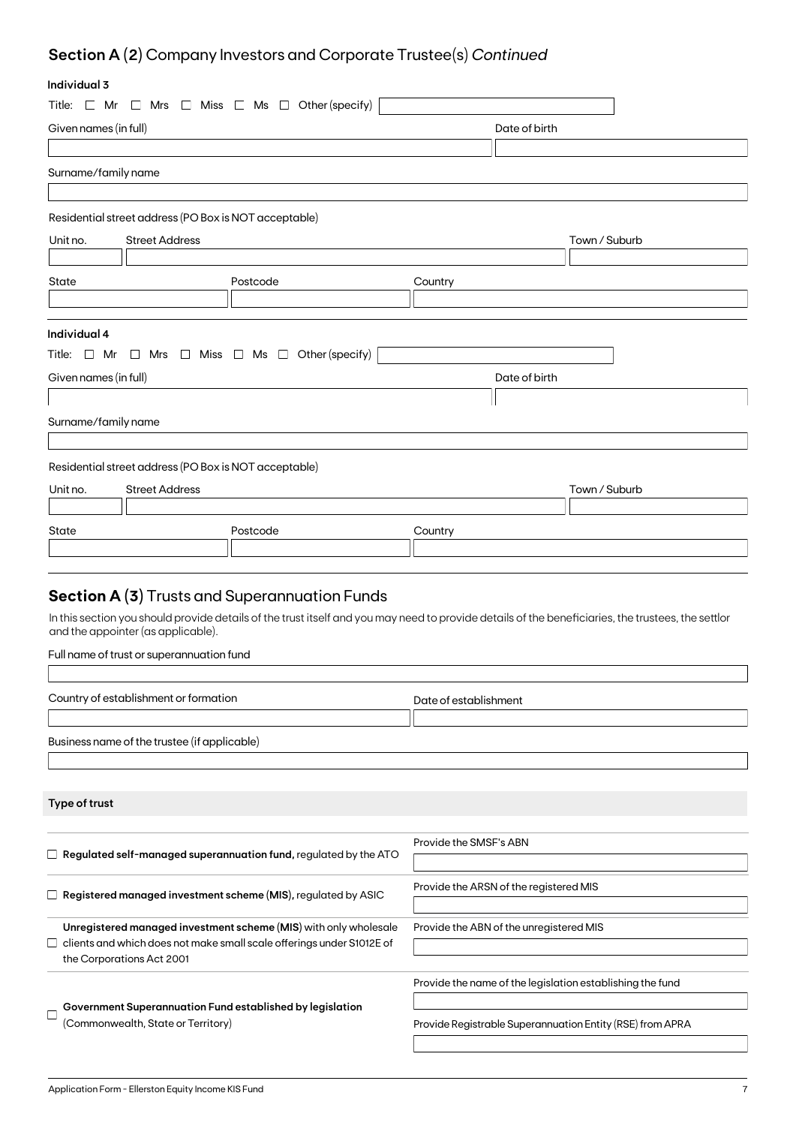## **Section A (2)** Company Investors and Corporate Trustee(s) *Continued*

### **Individual 3**

| individudi ə                                                         |                                                       |                                                                               |                                         |                                                                                                                                                    |
|----------------------------------------------------------------------|-------------------------------------------------------|-------------------------------------------------------------------------------|-----------------------------------------|----------------------------------------------------------------------------------------------------------------------------------------------------|
| Title: $\Box$ Mr                                                     |                                                       | $\Box$ Mrs $\Box$ Miss $\Box$ Ms $\Box$ Other (specify)                       |                                         |                                                                                                                                                    |
| Given names (in full)                                                |                                                       |                                                                               |                                         | Date of birth                                                                                                                                      |
|                                                                      |                                                       |                                                                               |                                         |                                                                                                                                                    |
| Surname/family name                                                  |                                                       |                                                                               |                                         |                                                                                                                                                    |
|                                                                      |                                                       |                                                                               |                                         |                                                                                                                                                    |
|                                                                      | Residential street address (PO Box is NOT acceptable) |                                                                               |                                         |                                                                                                                                                    |
| Unit no.                                                             | <b>Street Address</b>                                 |                                                                               |                                         | Town / Suburb                                                                                                                                      |
|                                                                      |                                                       |                                                                               |                                         |                                                                                                                                                    |
| State                                                                |                                                       | Postcode                                                                      | Country                                 |                                                                                                                                                    |
|                                                                      |                                                       |                                                                               |                                         |                                                                                                                                                    |
|                                                                      |                                                       |                                                                               |                                         |                                                                                                                                                    |
| Individual 4                                                         |                                                       |                                                                               |                                         |                                                                                                                                                    |
|                                                                      |                                                       | Title: $\Box$ Mr $\Box$ Mrs $\Box$ Miss $\Box$ Ms $\Box$ Other (specify)      |                                         |                                                                                                                                                    |
| Given names (in full)                                                |                                                       |                                                                               |                                         | Date of birth                                                                                                                                      |
|                                                                      |                                                       |                                                                               |                                         |                                                                                                                                                    |
| Surname/family name                                                  |                                                       |                                                                               |                                         |                                                                                                                                                    |
|                                                                      |                                                       |                                                                               |                                         |                                                                                                                                                    |
|                                                                      | Residential street address (PO Box is NOT acceptable) |                                                                               |                                         |                                                                                                                                                    |
|                                                                      | <b>Street Address</b>                                 |                                                                               |                                         | Town / Suburb                                                                                                                                      |
| Unit no.                                                             |                                                       |                                                                               |                                         |                                                                                                                                                    |
|                                                                      |                                                       |                                                                               |                                         |                                                                                                                                                    |
| State                                                                |                                                       | Postcode                                                                      | Country                                 |                                                                                                                                                    |
|                                                                      |                                                       |                                                                               |                                         |                                                                                                                                                    |
|                                                                      |                                                       |                                                                               |                                         |                                                                                                                                                    |
|                                                                      |                                                       | <b>Section A (3)</b> Trusts and Superannuation Funds                          |                                         |                                                                                                                                                    |
|                                                                      | and the appointer (as applicable).                    |                                                                               |                                         | In this section you should provide details of the trust itself and you may need to provide details of the beneficiaries, the trustees, the settlor |
|                                                                      |                                                       |                                                                               |                                         |                                                                                                                                                    |
|                                                                      | Full name of trust or superannuation fund             |                                                                               |                                         |                                                                                                                                                    |
|                                                                      |                                                       |                                                                               |                                         |                                                                                                                                                    |
|                                                                      | Country of establishment or formation                 |                                                                               | Date of establishment                   |                                                                                                                                                    |
|                                                                      |                                                       |                                                                               |                                         |                                                                                                                                                    |
|                                                                      | Business name of the trustee (if applicable)          |                                                                               |                                         |                                                                                                                                                    |
|                                                                      |                                                       |                                                                               |                                         |                                                                                                                                                    |
|                                                                      |                                                       |                                                                               |                                         |                                                                                                                                                    |
| Type of trust                                                        |                                                       |                                                                               |                                         |                                                                                                                                                    |
|                                                                      |                                                       |                                                                               |                                         |                                                                                                                                                    |
|                                                                      |                                                       | $\Box$ Regulated self-managed superannuation fund, regulated by the ATO       | Provide the SMSF's ABN                  |                                                                                                                                                    |
|                                                                      |                                                       |                                                                               |                                         |                                                                                                                                                    |
| $\Box$ Registered managed investment scheme (MIS), regulated by ASIC |                                                       | Provide the ARSN of the registered MIS                                        |                                         |                                                                                                                                                    |
|                                                                      |                                                       |                                                                               |                                         |                                                                                                                                                    |
|                                                                      |                                                       | Unregistered managed investment scheme (MIS) with only wholesale              | Provide the ABN of the unregistered MIS |                                                                                                                                                    |
|                                                                      | the Corporations Act 2001                             | $\Box~$ clients and which does not make small scale offerings under S1012E of |                                         |                                                                                                                                                    |
|                                                                      |                                                       |                                                                               |                                         |                                                                                                                                                    |
|                                                                      |                                                       |                                                                               |                                         | Provide the name of the legislation establishing the fund                                                                                          |
|                                                                      |                                                       | Government Superannuation Fund established by legislation                     |                                         |                                                                                                                                                    |
| (Commonwealth, State or Territory)                                   |                                                       |                                                                               |                                         | Provide Registrable Superannuation Entity (RSE) from APRA                                                                                          |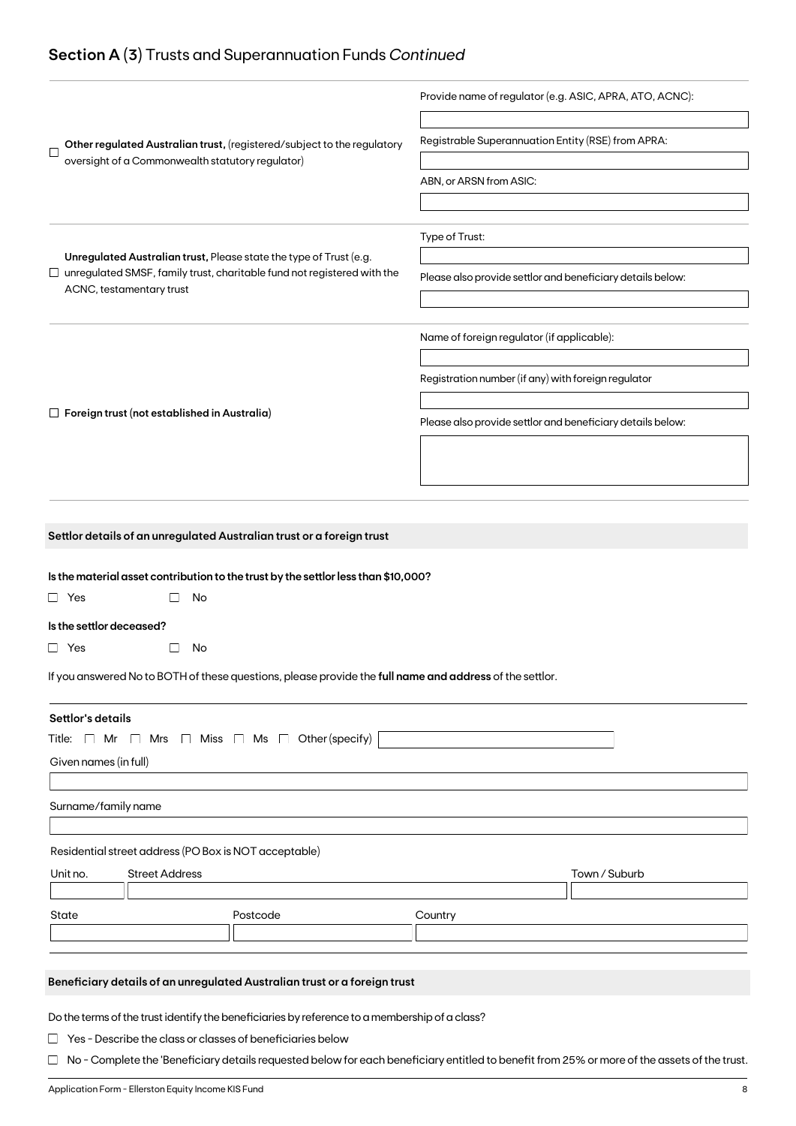### **Section A (3)** Trusts and Superannuation Funds *Continued*

|                                                                                                                                                      | Provide name of regulator (e.g. ASIC, APRA, ATO, ACNC):    |
|------------------------------------------------------------------------------------------------------------------------------------------------------|------------------------------------------------------------|
| Other regulated Australian trust, (registered/subject to the regulatory<br>Г<br>oversight of a Commonwealth statutory regulator)                     | Registrable Superannuation Entity (RSE) from APRA:         |
|                                                                                                                                                      | ABN, or ARSN from ASIC:                                    |
|                                                                                                                                                      |                                                            |
|                                                                                                                                                      | Type of Trust:                                             |
| Unregulated Australian trust, Please state the type of Trust (e.g.<br>$\Box$ unregulated SMSF, family trust, charitable fund not registered with the | Please also provide settlor and beneficiary details below: |
| ACNC, testamentary trust                                                                                                                             |                                                            |
|                                                                                                                                                      | Name of foreign regulator (if applicable):                 |
|                                                                                                                                                      |                                                            |
|                                                                                                                                                      | Registration number (if any) with foreign regulator        |
| $\Box$ Foreign trust (not established in Australia)                                                                                                  | Please also provide settlor and beneficiary details below: |
|                                                                                                                                                      |                                                            |
|                                                                                                                                                      |                                                            |
|                                                                                                                                                      |                                                            |
| Settlor details of an unregulated Australian trust or a foreign trust                                                                                |                                                            |
|                                                                                                                                                      |                                                            |
| Is the material asset contribution to the trust by the settlor less than \$10,000?<br>$\Box$ Yes<br>No                                               |                                                            |
| Is the settlor deceased?                                                                                                                             |                                                            |
| $\Box$ Yes<br>No<br>$\vert \ \ \vert$                                                                                                                |                                                            |
| If you answered No to BOTH of these questions, please provide the full name and address of the settlor.                                              |                                                            |
|                                                                                                                                                      |                                                            |
| Settlor's details                                                                                                                                    |                                                            |
| $\Box$ Mrs $\Box$ Miss $\Box$ Ms $\Box$ Other (specify)<br>Title: [ Mr                                                                               |                                                            |
| Given names (in full)                                                                                                                                |                                                            |
| Surname/family name                                                                                                                                  |                                                            |
|                                                                                                                                                      |                                                            |
| Residential street address (PO Box is NOT acceptable)                                                                                                |                                                            |
| Unit no.<br><b>Street Address</b>                                                                                                                    | Town / Suburb                                              |
|                                                                                                                                                      |                                                            |
| Postcode<br>State                                                                                                                                    | Country                                                    |
|                                                                                                                                                      |                                                            |
| Beneficiary details of an unregulated Australian trust or a foreign trust                                                                            |                                                            |
|                                                                                                                                                      |                                                            |
| Do the terms of the trust identify the beneficiaries by reference to a membership of a class?                                                        |                                                            |
| $\Box$ Yes - Describe the class or classes of beneficiaries below                                                                                    |                                                            |

□ No - Complete the 'Beneficiary details requested below for each beneficiary entitled to benefit from 25% or more of the assets of the trust.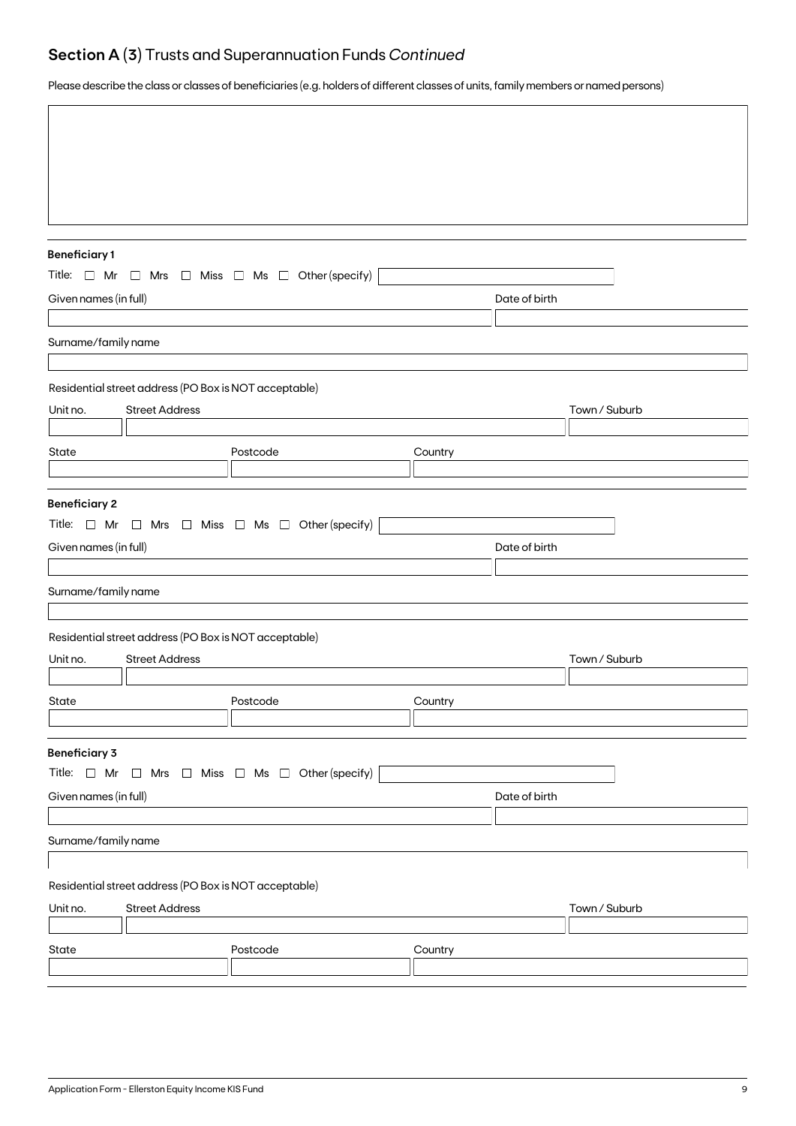## **Section A (3)** Trusts and Superannuation Funds *Continued*

Please describe the class or classes of beneficiaries (e.g. holders of different classes of units, family members or named persons)

| <b>Beneficiary1</b>   |                                                       |                                                                          |         |               |               |
|-----------------------|-------------------------------------------------------|--------------------------------------------------------------------------|---------|---------------|---------------|
|                       |                                                       | Title: $\Box$ Mr $\Box$ Mrs $\Box$ Miss $\Box$ Ms $\Box$ Other (specify) |         |               |               |
| Given names (in full) |                                                       |                                                                          |         | Date of birth |               |
|                       |                                                       |                                                                          |         |               |               |
| Surname/family name   |                                                       |                                                                          |         |               |               |
|                       | Residential street address (PO Box is NOT acceptable) |                                                                          |         |               |               |
| Unit no.              | <b>Street Address</b>                                 |                                                                          |         |               | Town / Suburb |
|                       |                                                       |                                                                          |         |               |               |
| <b>State</b>          |                                                       | Postcode                                                                 | Country |               |               |
|                       |                                                       |                                                                          |         |               |               |
| <b>Beneficiary 2</b>  |                                                       | Title: $\Box$ Mr $\Box$ Mrs $\Box$ Miss $\Box$ Ms $\Box$ Other (specify) |         |               |               |
| Given names (in full) |                                                       |                                                                          |         | Date of birth |               |
| Surname/family name   |                                                       |                                                                          |         |               |               |
|                       |                                                       |                                                                          |         |               |               |
|                       | Residential street address (PO Box is NOT acceptable) |                                                                          |         |               |               |
| Unit no.              | <b>Street Address</b>                                 |                                                                          |         |               | Town / Suburb |
|                       |                                                       |                                                                          |         |               |               |
| State                 |                                                       | Postcode                                                                 | Country |               |               |
|                       |                                                       |                                                                          |         |               |               |
| <b>Beneficiary 3</b>  |                                                       |                                                                          |         |               |               |
| Title: $\Box$ Mr      |                                                       | $\Box$ Mrs $\Box$ Miss $\Box$ Ms $\Box$ Other (specify)                  |         |               |               |
| Given names (in full) |                                                       |                                                                          |         | Date of birth |               |
|                       |                                                       |                                                                          |         |               |               |
| Surname/family name   |                                                       |                                                                          |         |               |               |
|                       | Residential street address (PO Box is NOT acceptable) |                                                                          |         |               |               |
| Unit no.              | <b>Street Address</b>                                 |                                                                          |         |               | Town / Suburb |
|                       |                                                       |                                                                          |         |               |               |
| State                 |                                                       | Postcode                                                                 | Country |               |               |
|                       |                                                       |                                                                          |         |               |               |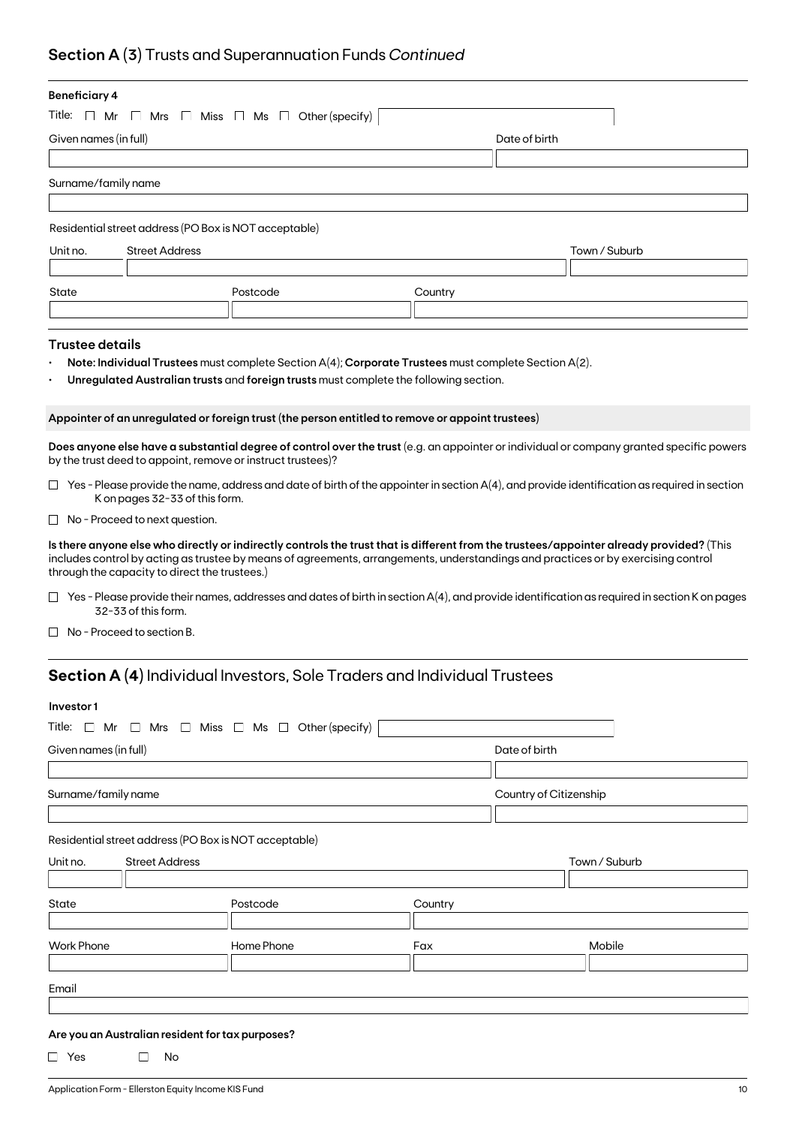## **Section A (3)** Trusts and Superannuation Funds *Continued*

| <b>Beneficiary 4</b>                                        |                                                         |                                                                                                      |                                                                                                                                                                                                                                                                               |
|-------------------------------------------------------------|---------------------------------------------------------|------------------------------------------------------------------------------------------------------|-------------------------------------------------------------------------------------------------------------------------------------------------------------------------------------------------------------------------------------------------------------------------------|
| Title:<br>$\Box$ Mr                                         | $\Box$ Mrs $\Box$ Miss $\Box$ Ms $\Box$ Other (specify) |                                                                                                      |                                                                                                                                                                                                                                                                               |
| Given names (in full)                                       |                                                         | Date of birth                                                                                        |                                                                                                                                                                                                                                                                               |
|                                                             |                                                         |                                                                                                      |                                                                                                                                                                                                                                                                               |
| Surname/family name                                         |                                                         |                                                                                                      |                                                                                                                                                                                                                                                                               |
|                                                             |                                                         |                                                                                                      |                                                                                                                                                                                                                                                                               |
| Residential street address (PO Box is NOT acceptable)       |                                                         |                                                                                                      |                                                                                                                                                                                                                                                                               |
| Unit no.<br><b>Street Address</b>                           |                                                         |                                                                                                      | Town / Suburb                                                                                                                                                                                                                                                                 |
|                                                             |                                                         |                                                                                                      |                                                                                                                                                                                                                                                                               |
| State                                                       | Postcode                                                | Country                                                                                              |                                                                                                                                                                                                                                                                               |
|                                                             |                                                         |                                                                                                      |                                                                                                                                                                                                                                                                               |
| <b>Trustee details</b>                                      |                                                         |                                                                                                      |                                                                                                                                                                                                                                                                               |
|                                                             |                                                         | Note: Individual Trustees must complete Section A(4); Corporate Trustees must complete Section A(2). |                                                                                                                                                                                                                                                                               |
|                                                             |                                                         | Unregulated Australian trusts and foreign trusts must complete the following section.                |                                                                                                                                                                                                                                                                               |
|                                                             |                                                         |                                                                                                      |                                                                                                                                                                                                                                                                               |
|                                                             |                                                         | Appointer of an unregulated or foreign trust (the person entitled to remove or appoint trustees)     |                                                                                                                                                                                                                                                                               |
| by the trust deed to appoint, remove or instruct trustees)? |                                                         |                                                                                                      | Does anyone else have a substantial degree of control over the trust (e.g. an appointer or individual or company granted specific powers                                                                                                                                      |
| K on pages 32-33 of this form.                              |                                                         |                                                                                                      | $\Box$ Yes - Please provide the name, address and date of birth of the appointer in section A(4), and provide identification as required in section                                                                                                                           |
| $\Box$ No - Proceed to next question.                       |                                                         |                                                                                                      |                                                                                                                                                                                                                                                                               |
| through the capacity to direct the trustees.)               |                                                         |                                                                                                      | Is there anyone else who directly or indirectly controls the trust that is different from the trustees/appointer already provided? (This<br>includes control by acting as trustee by means of agreements, arrangements, understandings and practices or by exercising control |
| 32-33 of this form.                                         |                                                         |                                                                                                      | $\Box$ Yes - Please provide their names, addresses and dates of birth in section A(4), and provide identification as required in section K on pages                                                                                                                           |
| No - Proceed to section B.                                  |                                                         |                                                                                                      |                                                                                                                                                                                                                                                                               |
|                                                             |                                                         | <b>Section A (4)</b> Individual Investors, Sole Traders and Individual Trustees                      |                                                                                                                                                                                                                                                                               |
| Investor1                                                   |                                                         |                                                                                                      |                                                                                                                                                                                                                                                                               |
| Title: $\Box$ Mr                                            | $\Box$ Mrs $\Box$ Miss $\Box$ Ms $\Box$ Other (specify) |                                                                                                      |                                                                                                                                                                                                                                                                               |
|                                                             |                                                         |                                                                                                      | Date of birth                                                                                                                                                                                                                                                                 |
| Given names (in full)                                       |                                                         |                                                                                                      |                                                                                                                                                                                                                                                                               |
|                                                             |                                                         |                                                                                                      |                                                                                                                                                                                                                                                                               |
| Surname/family name                                         |                                                         |                                                                                                      | Country of Citizenship                                                                                                                                                                                                                                                        |
|                                                             |                                                         |                                                                                                      |                                                                                                                                                                                                                                                                               |

#### Residential street address (PO Box is NOT acceptable)

| Unit no.          | <b>Street Address</b> |            |         | Town / Suburb |
|-------------------|-----------------------|------------|---------|---------------|
|                   |                       |            |         |               |
| State             |                       | Postcode   | Country |               |
|                   |                       |            |         |               |
| <b>Work Phone</b> |                       | Home Phone | Fax     | Mobile        |
|                   |                       |            |         |               |
|                   |                       |            |         |               |
| Email             |                       |            |         |               |

#### **Are you an Australian resident for tax purposes?**

 $\Box$  Yes  $\Box$  No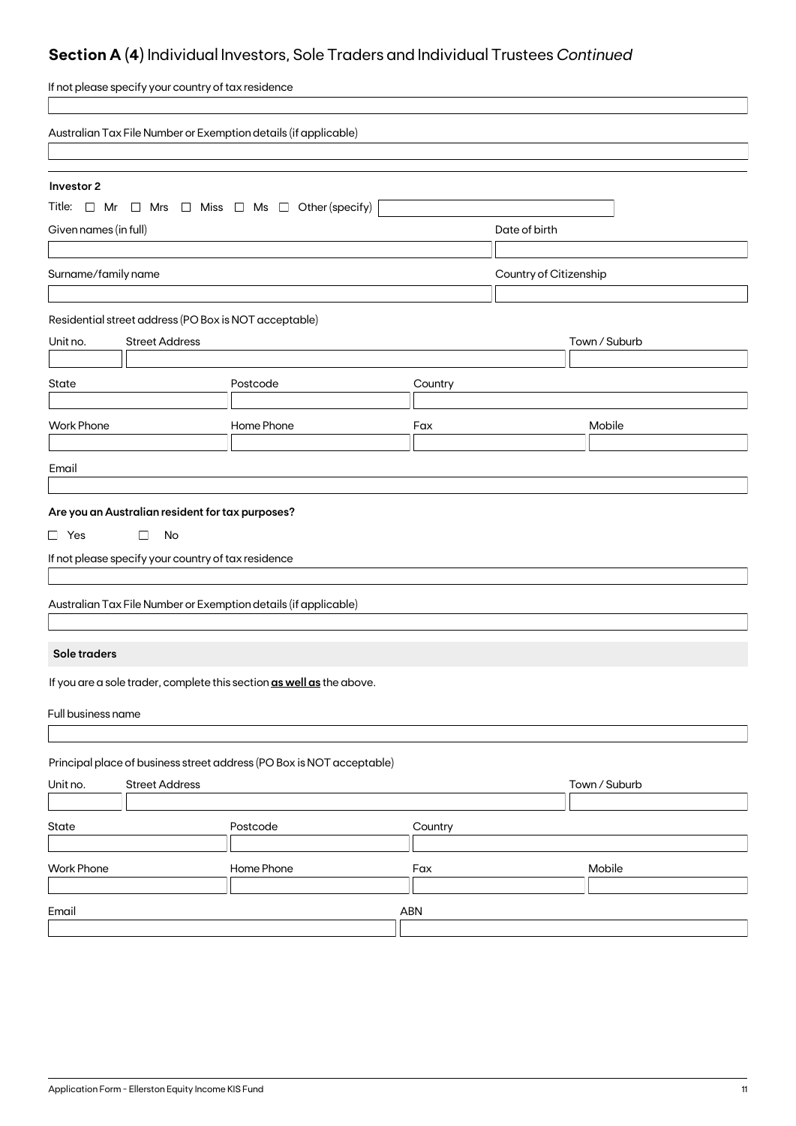## **Section A (4)** Individual Investors, Sole Traders and Individual Trustees *Continued*

| If not please specify your country of tax residence                      |                                                    |         |                        |               |  |
|--------------------------------------------------------------------------|----------------------------------------------------|---------|------------------------|---------------|--|
| Australian Tax File Number or Exemption details (if applicable)          |                                                    |         |                        |               |  |
|                                                                          |                                                    |         |                        |               |  |
| Investor 2                                                               |                                                    |         |                        |               |  |
| Title: $\Box$ Mr $\Box$ Mrs $\Box$ Miss $\Box$ Ms $\Box$ Other (specify) |                                                    |         |                        |               |  |
| Given names (in full)                                                    |                                                    |         | Date of birth          |               |  |
| Surname/family name                                                      |                                                    |         | Country of Citizenship |               |  |
|                                                                          |                                                    |         |                        |               |  |
| Residential street address (PO Box is NOT acceptable)                    |                                                    |         |                        |               |  |
| <b>Street Address</b><br>Unit no.                                        |                                                    |         |                        | Town / Suburb |  |
|                                                                          |                                                    |         |                        |               |  |
| State                                                                    | Postcode                                           | Country |                        |               |  |
|                                                                          |                                                    |         |                        |               |  |
| <b>Work Phone</b>                                                        | Home Phone                                         | Fax     |                        | Mobile        |  |
|                                                                          |                                                    |         |                        |               |  |
| Email                                                                    |                                                    |         |                        |               |  |
| Are you an Australian resident for tax purposes?                         |                                                    |         |                        |               |  |
| $\Box$ Yes<br>No<br>$\Box$                                               |                                                    |         |                        |               |  |
| If not please specify your country of tax residence                      |                                                    |         |                        |               |  |
|                                                                          |                                                    |         |                        |               |  |
| Australian Tax File Number or Exemption details (if applicable)          |                                                    |         |                        |               |  |
|                                                                          |                                                    |         |                        |               |  |
| Sole traders                                                             |                                                    |         |                        |               |  |
| If you are a sole trader, complete this section as well as the above.    |                                                    |         |                        |               |  |
|                                                                          |                                                    |         |                        |               |  |
| Full business name                                                       |                                                    |         |                        |               |  |
|                                                                          |                                                    |         |                        |               |  |
| Principal place of business street address (PO Box is NOT acceptable)    |                                                    |         |                        |               |  |
|                                                                          | Town / Suburb<br>Unit no.<br><b>Street Address</b> |         |                        |               |  |
| State                                                                    | Postcode                                           | Country |                        |               |  |
|                                                                          |                                                    |         |                        |               |  |
| <b>Work Phone</b>                                                        | Home Phone                                         | Fax     |                        | Mobile        |  |
|                                                                          |                                                    |         |                        |               |  |
| Email                                                                    |                                                    | ABN     |                        |               |  |
|                                                                          |                                                    |         |                        |               |  |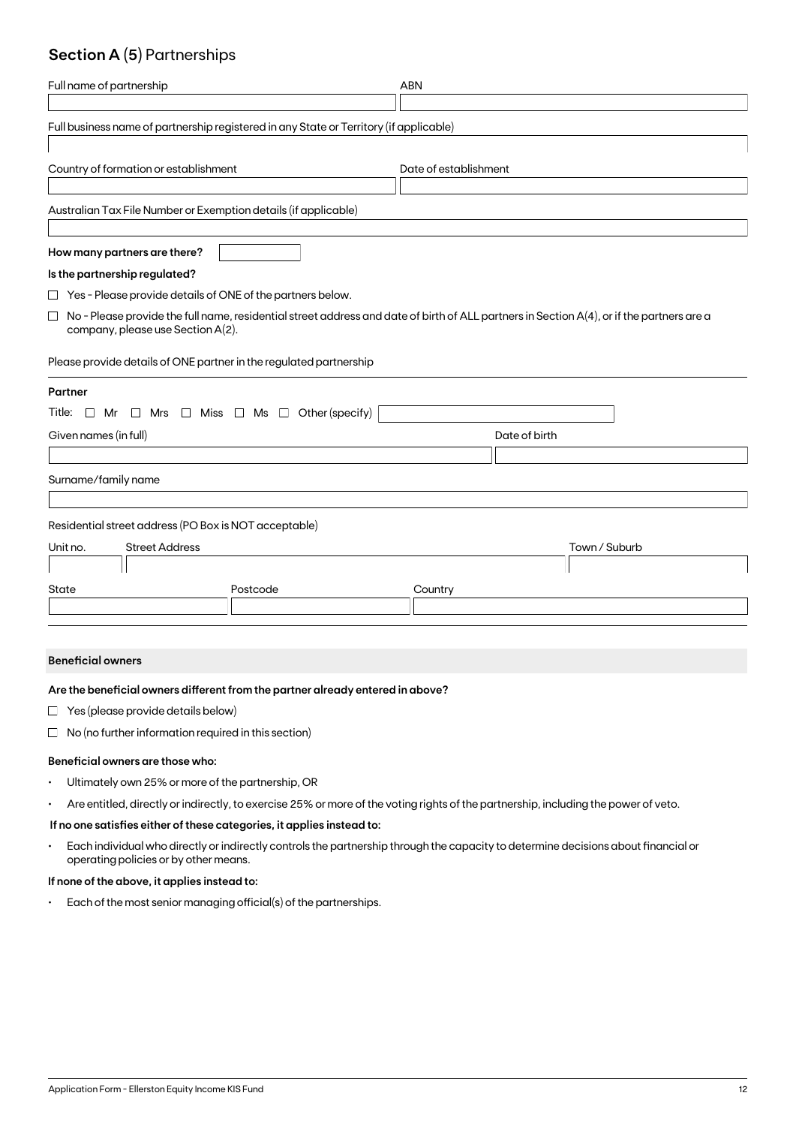### **Section A (5)** Partnerships

| Full name of partnership                                                               | <b>ABN</b>                                                                                                                                |  |  |  |
|----------------------------------------------------------------------------------------|-------------------------------------------------------------------------------------------------------------------------------------------|--|--|--|
| Full business name of partnership registered in any State or Territory (if applicable) |                                                                                                                                           |  |  |  |
| Country of formation or establishment<br>Date of establishment                         |                                                                                                                                           |  |  |  |
| Australian Tax File Number or Exemption details (if applicable)                        |                                                                                                                                           |  |  |  |
| How many partners are there?                                                           |                                                                                                                                           |  |  |  |
| Is the partnership regulated?                                                          |                                                                                                                                           |  |  |  |
| $\Box$ Yes - Please provide details of ONE of the partners below.                      |                                                                                                                                           |  |  |  |
| $\Box$<br>company, please use Section A(2).                                            | No - Please provide the full name, residential street address and date of birth of ALL partners in Section A(4), or if the partners are a |  |  |  |
| Please provide details of ONE partner in the regulated partnership                     |                                                                                                                                           |  |  |  |
| Partner                                                                                |                                                                                                                                           |  |  |  |
| Title: $\Box$ Mr $\Box$ Mrs $\Box$ Miss $\Box$ Ms $\Box$ Other (specify)               |                                                                                                                                           |  |  |  |
| Given names (in full)                                                                  | Date of birth                                                                                                                             |  |  |  |
|                                                                                        |                                                                                                                                           |  |  |  |
| Surname/family name                                                                    |                                                                                                                                           |  |  |  |
| Residential street address (PO Box is NOT acceptable)                                  |                                                                                                                                           |  |  |  |
| <b>Street Address</b><br>Unit no.                                                      | Town / Suburb                                                                                                                             |  |  |  |
|                                                                                        |                                                                                                                                           |  |  |  |
| State<br>Postcode                                                                      | Country                                                                                                                                   |  |  |  |
|                                                                                        |                                                                                                                                           |  |  |  |

#### **Beneficial owners**

#### **Are the beneficial owners different from the partner already entered in above?**

- $\Box$  Yes (please provide details below)
- $\Box$  No (no further information required in this section)

#### **Beneficial owners are those who:**

- Ultimately own 25% or more of the partnership, OR
- Are entitled, directly or indirectly, to exercise 25% or more of the voting rights of the partnership, including the power of veto.

#### **If no one satisfies either of these categories, it applies instead to:**

• Each individual who directly or indirectly controls the partnership through the capacity to determine decisions about financial or operating policies or by other means.

#### **If none of the above, it applies instead to:**

• Each of the most senior managing official(s) of the partnerships.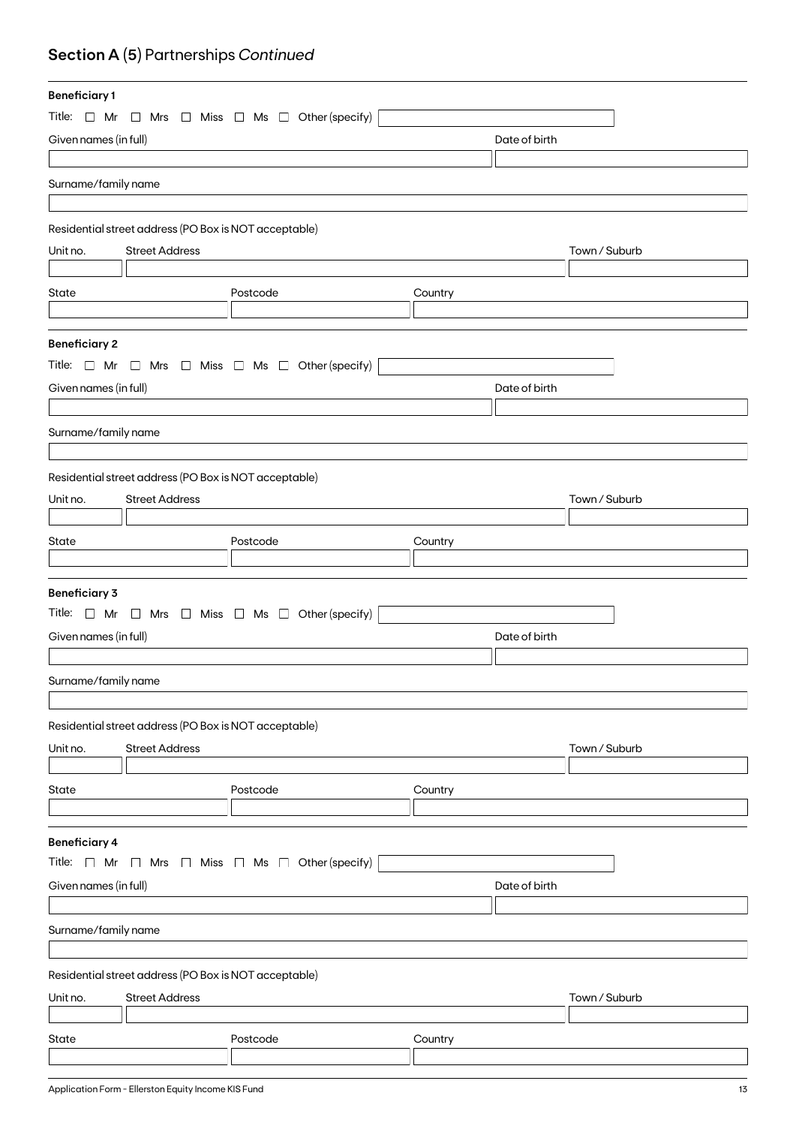## **Section A (5)** Partnerships *Continued*

| <b>Beneficiary1</b>   |                                                       |                                                                          |               |               |
|-----------------------|-------------------------------------------------------|--------------------------------------------------------------------------|---------------|---------------|
|                       |                                                       | Title: $\Box$ Mr $\Box$ Mrs $\Box$ Miss $\Box$ Ms $\Box$ Other (specify) |               |               |
| Given names (in full) |                                                       |                                                                          | Date of birth |               |
|                       |                                                       |                                                                          |               |               |
| Surname/family name   |                                                       |                                                                          |               |               |
|                       |                                                       |                                                                          |               |               |
|                       |                                                       |                                                                          |               |               |
|                       | Residential street address (PO Box is NOT acceptable) |                                                                          |               |               |
| Unit no.              | <b>Street Address</b>                                 |                                                                          |               | Town / Suburb |
|                       |                                                       |                                                                          |               |               |
| State                 |                                                       | Postcode                                                                 | Country       |               |
|                       |                                                       |                                                                          |               |               |
| <b>Beneficiary 2</b>  |                                                       |                                                                          |               |               |
|                       |                                                       | Title: $\Box$ Mr $\Box$ Mrs $\Box$ Miss $\Box$ Ms $\Box$ Other (specify) |               |               |
| Given names (in full) |                                                       |                                                                          | Date of birth |               |
|                       |                                                       |                                                                          |               |               |
|                       |                                                       |                                                                          |               |               |
| Surname/family name   |                                                       |                                                                          |               |               |
|                       |                                                       |                                                                          |               |               |
|                       | Residential street address (PO Box is NOT acceptable) |                                                                          |               |               |
| Unit no.              | <b>Street Address</b>                                 |                                                                          |               | Town / Suburb |
|                       |                                                       |                                                                          |               |               |
| State                 |                                                       | Postcode                                                                 | Country       |               |
|                       |                                                       |                                                                          |               |               |
| <b>Beneficiary 3</b>  |                                                       |                                                                          |               |               |
|                       |                                                       | Title: $\Box$ Mr $\Box$ Mrs $\Box$ Miss $\Box$ Ms $\Box$ Other (specify) |               |               |
|                       |                                                       |                                                                          |               |               |
| Given names (in full) |                                                       |                                                                          | Date of birth |               |
|                       |                                                       |                                                                          |               |               |
| Surname/family name   |                                                       |                                                                          |               |               |
|                       |                                                       |                                                                          |               |               |
|                       | Residential street address (PO Box is NOT acceptable) |                                                                          |               |               |
| Unit no.              | <b>Street Address</b>                                 |                                                                          |               | Town / Suburb |
|                       |                                                       |                                                                          |               |               |
| State                 |                                                       | Postcode                                                                 | Country       |               |
|                       |                                                       |                                                                          |               |               |
|                       |                                                       |                                                                          |               |               |
| <b>Beneficiary 4</b>  |                                                       |                                                                          |               |               |
| Title: $\Box$ Mr      |                                                       | $\Box$ Mrs $\Box$ Miss $\Box$ Ms $\Box$ Other (specify)                  |               |               |
| Given names (in full) |                                                       |                                                                          | Date of birth |               |
|                       |                                                       |                                                                          |               |               |
| Surname/family name   |                                                       |                                                                          |               |               |
|                       |                                                       |                                                                          |               |               |
|                       | Residential street address (PO Box is NOT acceptable) |                                                                          |               |               |
| Unit no.              | <b>Street Address</b>                                 |                                                                          |               | Town / Suburb |
|                       |                                                       |                                                                          |               |               |
| State                 |                                                       | Postcode                                                                 | Country       |               |
|                       |                                                       |                                                                          |               |               |
|                       |                                                       |                                                                          |               |               |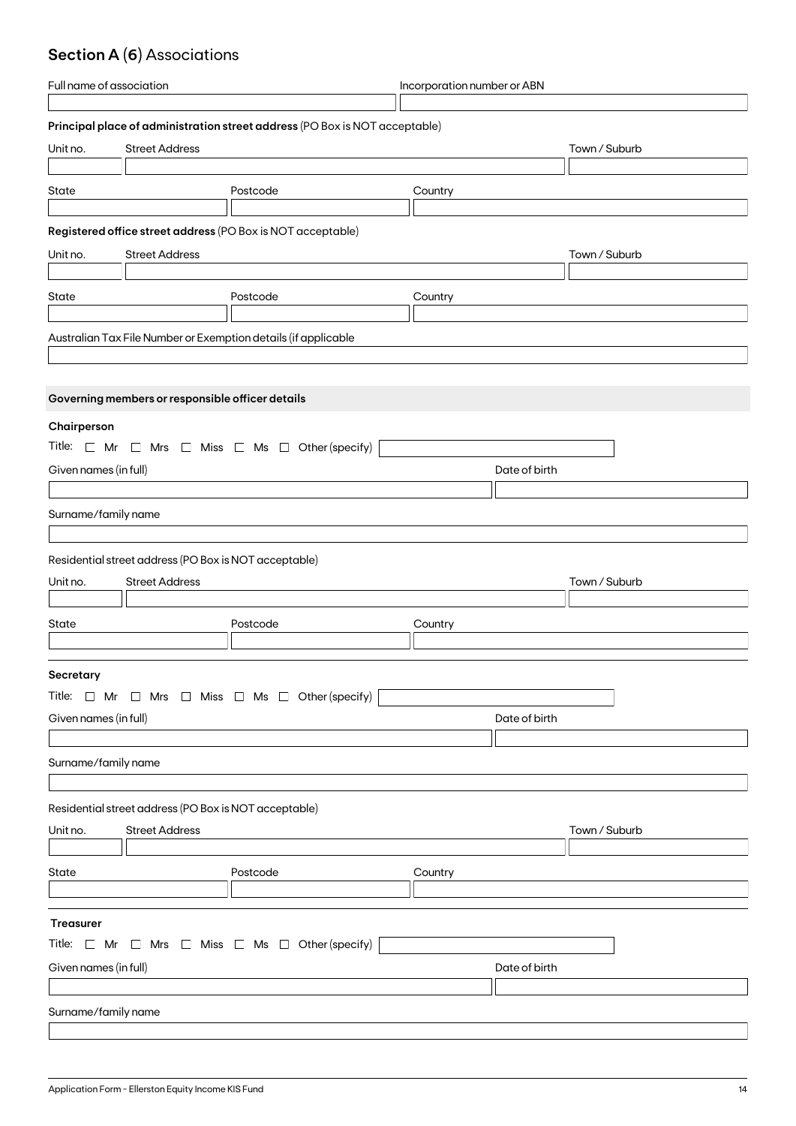## **Section A (6)** Associations

| Full name of association |                                                       |                                                                             | Incorporation number or ABN |               |  |
|--------------------------|-------------------------------------------------------|-----------------------------------------------------------------------------|-----------------------------|---------------|--|
|                          |                                                       |                                                                             |                             |               |  |
|                          |                                                       | Principal place of administration street address (PO Box is NOT acceptable) |                             |               |  |
| Unit no.                 | <b>Street Address</b>                                 |                                                                             |                             | Town / Suburb |  |
|                          |                                                       |                                                                             |                             |               |  |
| State                    |                                                       | Postcode                                                                    | Country                     |               |  |
|                          |                                                       |                                                                             |                             |               |  |
|                          |                                                       | Registered office street address (PO Box is NOT acceptable)                 |                             |               |  |
| Unit no.                 | <b>Street Address</b>                                 |                                                                             |                             | Town / Suburb |  |
|                          |                                                       |                                                                             |                             |               |  |
| State                    |                                                       | Postcode                                                                    | Country                     |               |  |
|                          |                                                       |                                                                             |                             |               |  |
|                          |                                                       | Australian Tax File Number or Exemption details (if applicable              |                             |               |  |
|                          |                                                       |                                                                             |                             |               |  |
|                          |                                                       |                                                                             |                             |               |  |
|                          | Governing members or responsible officer details      |                                                                             |                             |               |  |
|                          |                                                       |                                                                             |                             |               |  |
| Chairperson              |                                                       |                                                                             |                             |               |  |
|                          |                                                       | Title: $\Box$ Mr $\Box$ Mrs $\Box$ Miss $\Box$ Ms $\Box$ Other (specify)    |                             |               |  |
| Given names (in full)    |                                                       |                                                                             |                             | Date of birth |  |
|                          |                                                       |                                                                             |                             |               |  |
| Surname/family name      |                                                       |                                                                             |                             |               |  |
|                          |                                                       |                                                                             |                             |               |  |
|                          | Residential street address (PO Box is NOT acceptable) |                                                                             |                             |               |  |
| Unit no.                 | <b>Street Address</b>                                 |                                                                             |                             | Town / Suburb |  |
|                          |                                                       |                                                                             |                             |               |  |
| State                    |                                                       | Postcode                                                                    |                             |               |  |
|                          |                                                       |                                                                             | Country                     |               |  |
|                          |                                                       |                                                                             |                             |               |  |
| Secretary                |                                                       |                                                                             |                             |               |  |
|                          |                                                       | Title: $\Box$ Mr $\Box$ Mrs $\Box$ Miss $\Box$ Ms $\Box$ Other (specify)    |                             |               |  |
| Given names (in full)    |                                                       |                                                                             |                             | Date of birth |  |
|                          |                                                       |                                                                             |                             |               |  |
| Surname/family name      |                                                       |                                                                             |                             |               |  |
|                          |                                                       |                                                                             |                             |               |  |
|                          |                                                       |                                                                             |                             |               |  |
|                          | Residential street address (PO Box is NOT acceptable) |                                                                             |                             |               |  |
| Unit no.                 | <b>Street Address</b>                                 |                                                                             |                             | Town / Suburb |  |
|                          |                                                       |                                                                             |                             |               |  |
| State                    |                                                       | Postcode                                                                    | Country                     |               |  |
|                          |                                                       |                                                                             |                             |               |  |
| <b>Treasurer</b>         |                                                       |                                                                             |                             |               |  |
|                          |                                                       | Title: $\Box$ Mr $\Box$ Mrs $\Box$ Miss $\Box$ Ms $\Box$ Other (specify)    |                             |               |  |
|                          |                                                       |                                                                             |                             |               |  |
| Given names (in full)    |                                                       |                                                                             |                             | Date of birth |  |
|                          |                                                       |                                                                             |                             |               |  |
| Surname/family name      |                                                       |                                                                             |                             |               |  |
|                          |                                                       |                                                                             |                             |               |  |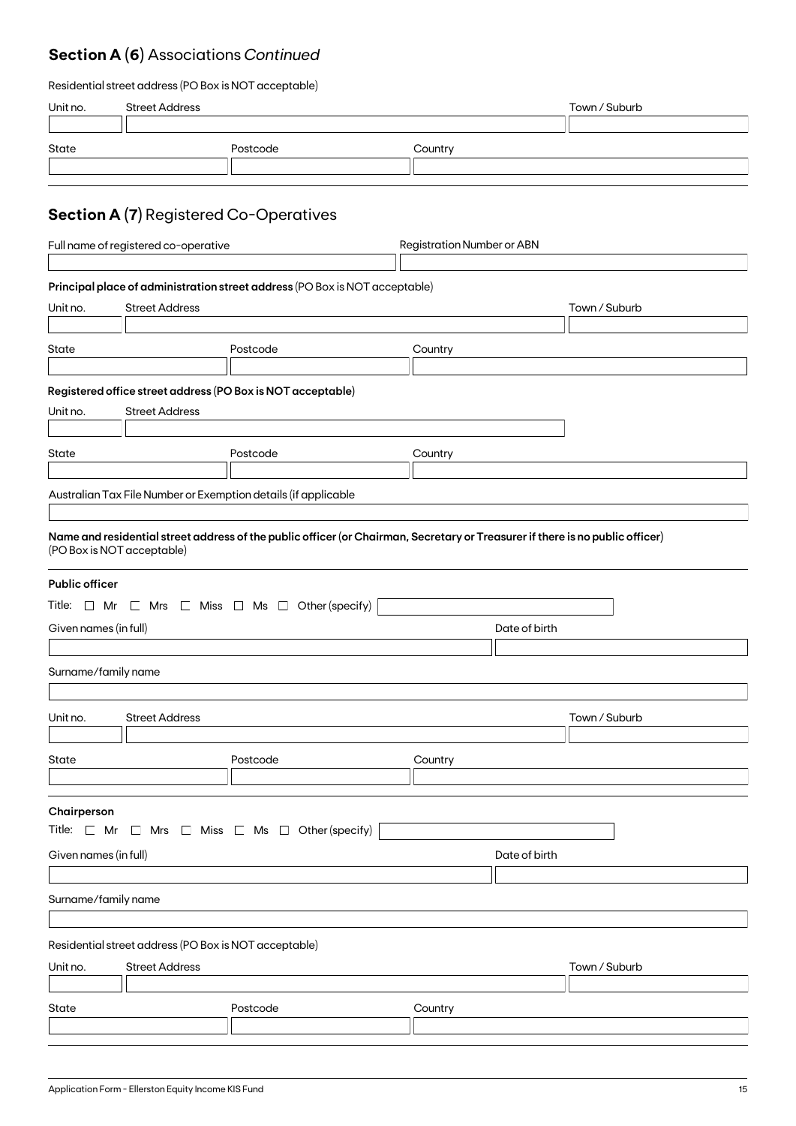## **Section A (6)** Associations *Continued*

| Residential street address (PO Box is NOT acceptable) |  |  |
|-------------------------------------------------------|--|--|
|-------------------------------------------------------|--|--|

| Unit no.                                                                                                                          | <b>Street Address</b>                                                          |                                                                                                                                                                                                           |                                   | Town / Suburb |  |
|-----------------------------------------------------------------------------------------------------------------------------------|--------------------------------------------------------------------------------|-----------------------------------------------------------------------------------------------------------------------------------------------------------------------------------------------------------|-----------------------------------|---------------|--|
| State                                                                                                                             |                                                                                | Postcode                                                                                                                                                                                                  | Country                           |               |  |
|                                                                                                                                   | <b>Section A (7)</b> Registered Co-Operatives                                  |                                                                                                                                                                                                           |                                   |               |  |
|                                                                                                                                   | Full name of registered co-operative                                           |                                                                                                                                                                                                           | <b>Registration Number or ABN</b> |               |  |
| Unit no.                                                                                                                          | <b>Street Address</b>                                                          | Principal place of administration street address (PO Box is NOT acceptable)                                                                                                                               |                                   | Town / Suburb |  |
| State                                                                                                                             |                                                                                | Postcode                                                                                                                                                                                                  | Country                           |               |  |
|                                                                                                                                   |                                                                                |                                                                                                                                                                                                           |                                   |               |  |
| Unit no.                                                                                                                          | <b>Street Address</b>                                                          | Registered office street address (PO Box is NOT acceptable)                                                                                                                                               |                                   |               |  |
| State                                                                                                                             |                                                                                | Postcode                                                                                                                                                                                                  | Country                           |               |  |
|                                                                                                                                   |                                                                                | Australian Tax File Number or Exemption details (if applicable                                                                                                                                            |                                   |               |  |
| <b>Public officer</b><br>Given names (in full)<br>Surname/family name                                                             | (PO Box is NOT acceptable)                                                     | Name and residential street address of the public officer (or Chairman, Secretary or Treasurer if there is no public officer)<br>Title: $\Box$ Mr $\Box$ Mrs $\Box$ Miss $\Box$ Ms $\Box$ Other (specify) | Date of birth                     |               |  |
|                                                                                                                                   |                                                                                |                                                                                                                                                                                                           |                                   |               |  |
| Unit no.                                                                                                                          | <b>Street Address</b>                                                          |                                                                                                                                                                                                           |                                   | Town / Suburb |  |
| State                                                                                                                             |                                                                                | Postcode                                                                                                                                                                                                  | Country                           |               |  |
| Chairperson<br>Title: $\Box$ Mr $\Box$ Mrs $\Box$ Miss $\Box$ Ms $\Box$ Other (specify)<br>Given names (in full)<br>Date of birth |                                                                                |                                                                                                                                                                                                           |                                   |               |  |
| Surname/family name                                                                                                               |                                                                                |                                                                                                                                                                                                           |                                   |               |  |
|                                                                                                                                   |                                                                                |                                                                                                                                                                                                           |                                   |               |  |
| Unit no.                                                                                                                          | Residential street address (PO Box is NOT acceptable)<br><b>Street Address</b> |                                                                                                                                                                                                           |                                   | Town / Suburb |  |
| State                                                                                                                             |                                                                                | Postcode                                                                                                                                                                                                  | Country                           |               |  |
|                                                                                                                                   |                                                                                |                                                                                                                                                                                                           |                                   |               |  |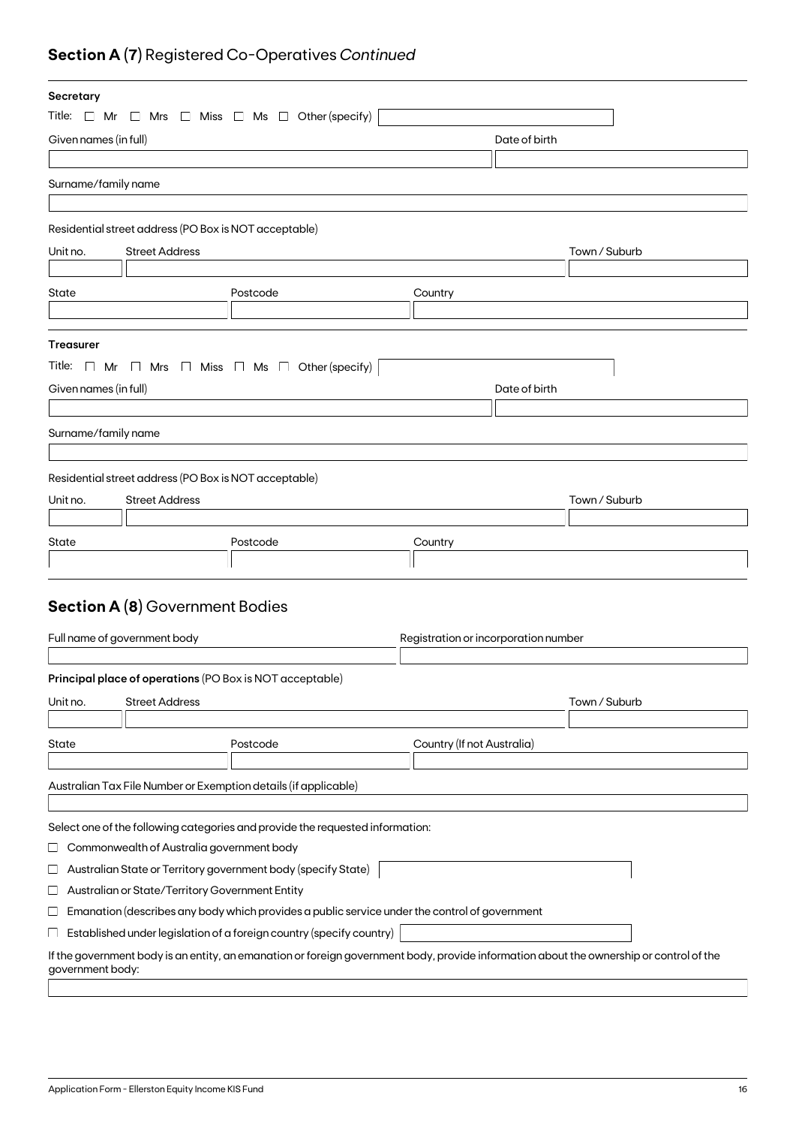## **Section A (7)** Registered Co-Operatives *Continued*

| Secretary                    |                                                       |                                                                                                                                         |                                      |               |               |
|------------------------------|-------------------------------------------------------|-----------------------------------------------------------------------------------------------------------------------------------------|--------------------------------------|---------------|---------------|
|                              |                                                       | Title: $\Box$ Mr $\Box$ Mrs $\Box$ Miss $\Box$ Ms $\Box$ Other (specify)                                                                |                                      |               |               |
| Given names (in full)        |                                                       |                                                                                                                                         |                                      | Date of birth |               |
|                              |                                                       |                                                                                                                                         |                                      |               |               |
| Surname/family name          |                                                       |                                                                                                                                         |                                      |               |               |
|                              |                                                       |                                                                                                                                         |                                      |               |               |
|                              | Residential street address (PO Box is NOT acceptable) |                                                                                                                                         |                                      |               |               |
| Unit no.                     | <b>Street Address</b>                                 |                                                                                                                                         |                                      |               | Town / Suburb |
|                              |                                                       |                                                                                                                                         |                                      |               |               |
| State                        |                                                       | Postcode                                                                                                                                | Country                              |               |               |
|                              |                                                       |                                                                                                                                         |                                      |               |               |
|                              |                                                       |                                                                                                                                         |                                      |               |               |
| <b>Treasurer</b>             |                                                       |                                                                                                                                         |                                      |               |               |
|                              |                                                       | Title: $\Box$ Mr $\Box$ Mrs $\Box$ Miss $\Box$ Ms $\Box$ Other (specify)                                                                |                                      |               |               |
| Given names (in full)        |                                                       |                                                                                                                                         |                                      | Date of birth |               |
|                              |                                                       |                                                                                                                                         |                                      |               |               |
| Surname/family name          |                                                       |                                                                                                                                         |                                      |               |               |
|                              |                                                       |                                                                                                                                         |                                      |               |               |
|                              | Residential street address (PO Box is NOT acceptable) |                                                                                                                                         |                                      |               |               |
| Unit no.                     | <b>Street Address</b>                                 |                                                                                                                                         |                                      |               | Town / Suburb |
|                              |                                                       |                                                                                                                                         |                                      |               |               |
| State                        |                                                       | Postcode                                                                                                                                | Country                              |               |               |
|                              |                                                       |                                                                                                                                         |                                      |               |               |
|                              |                                                       |                                                                                                                                         |                                      |               |               |
|                              | <b>Section A (8)</b> Government Bodies                |                                                                                                                                         |                                      |               |               |
|                              |                                                       |                                                                                                                                         |                                      |               |               |
| Full name of government body |                                                       |                                                                                                                                         | Registration or incorporation number |               |               |
|                              |                                                       | Principal place of operations (PO Box is NOT acceptable)                                                                                |                                      |               |               |
|                              |                                                       |                                                                                                                                         |                                      |               |               |
| Unit no.                     | <b>Street Address</b>                                 |                                                                                                                                         |                                      |               | Town / Suburb |
| State                        |                                                       | Postcode                                                                                                                                | Country (If not Australia)           |               |               |
|                              |                                                       |                                                                                                                                         |                                      |               |               |
|                              |                                                       | Australian Tax File Number or Exemption details (if applicable)                                                                         |                                      |               |               |
|                              |                                                       |                                                                                                                                         |                                      |               |               |
|                              |                                                       | Select one of the following categories and provide the requested information:                                                           |                                      |               |               |
| ⊔                            | Commonwealth of Australia government body             |                                                                                                                                         |                                      |               |               |
| ⊔                            |                                                       | Australian State or Territory government body (specify State)                                                                           |                                      |               |               |
| ⊔                            | Australian or State/Territory Government Entity       |                                                                                                                                         |                                      |               |               |
| ப                            |                                                       | Emanation (describes any body which provides a public service under the control of government                                           |                                      |               |               |
| ⊔                            |                                                       | Established under legislation of a foreign country (specify country)                                                                    |                                      |               |               |
|                              |                                                       |                                                                                                                                         |                                      |               |               |
| government body:             |                                                       | If the government body is an entity, an emanation or foreign government body, provide information about the ownership or control of the |                                      |               |               |
|                              |                                                       |                                                                                                                                         |                                      |               |               |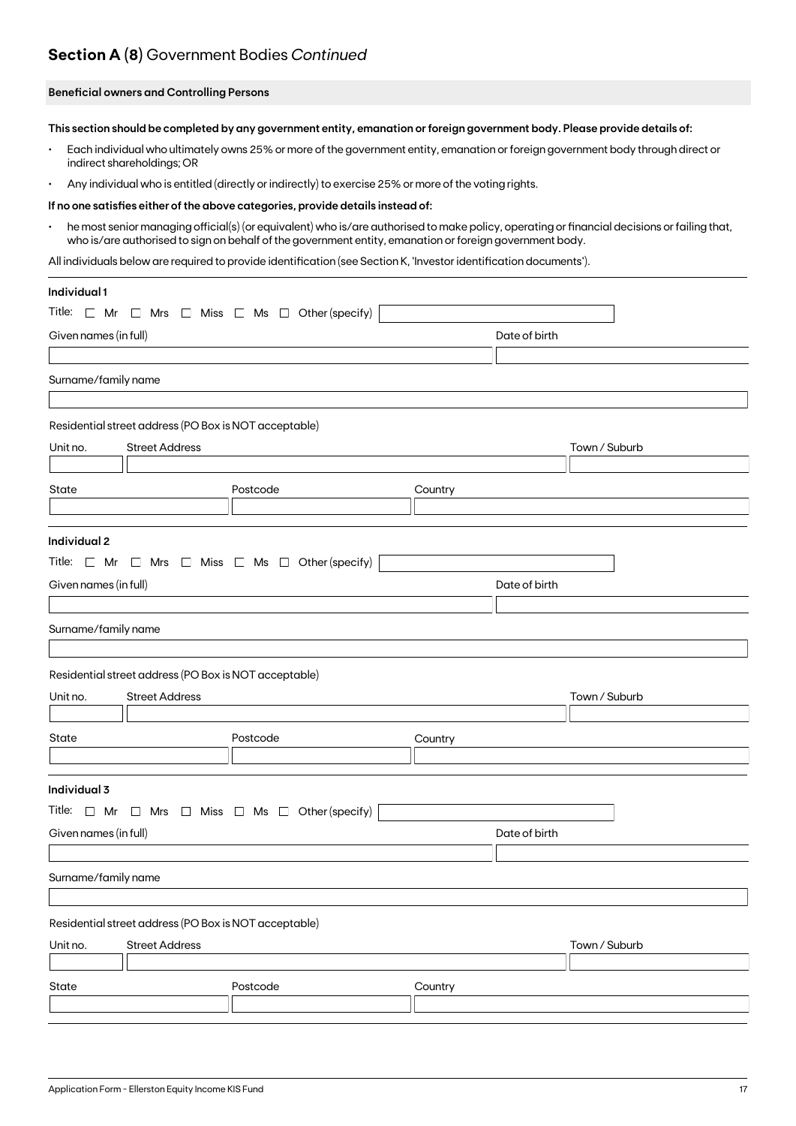### **Section A (8)** Government Bodies *Continued*

#### **Beneficial owners and Controlling Persons**

**This section should be completed by any government entity, emanation or foreign government body. Please provide details of:**

- Each individual who ultimately owns 25% or more of the government entity, emanation or foreign government body through direct or indirect shareholdings; OR
- Any individual who is entitled (directly or indirectly) to exercise 25% or more of the voting rights.

#### **If no one satisfies either of the above categories, provide details instead of:**

• he most senior managing official(s) (or equivalent) who is/are authorised to make policy, operating or financial decisions or failing that, who is/are authorised to sign on behalf of the government entity, emanation or foreign government body.

All individuals below are required to provide identification (see Section K, 'Investor identification documents').

| Individual 1          |                                                       |                                                                          |         |               |
|-----------------------|-------------------------------------------------------|--------------------------------------------------------------------------|---------|---------------|
|                       |                                                       | Title: $\Box$ Mr $\Box$ Mrs $\Box$ Miss $\Box$ Ms $\Box$ Other (specify) |         |               |
| Given names (in full) |                                                       |                                                                          |         | Date of birth |
|                       |                                                       |                                                                          |         |               |
| Surname/family name   |                                                       |                                                                          |         |               |
|                       |                                                       |                                                                          |         |               |
|                       | Residential street address (PO Box is NOT acceptable) |                                                                          |         |               |
| Unit no.              | <b>Street Address</b>                                 |                                                                          |         | Town / Suburb |
|                       |                                                       |                                                                          |         |               |
| State                 |                                                       | Postcode                                                                 | Country |               |
|                       |                                                       |                                                                          |         |               |
| Individual 2          |                                                       |                                                                          |         |               |
|                       |                                                       | Title: $\Box$ Mr $\Box$ Mrs $\Box$ Miss $\Box$ Ms $\Box$ Other (specify) |         |               |
| Given names (in full) |                                                       |                                                                          |         | Date of birth |
|                       |                                                       |                                                                          |         |               |
| Surname/family name   |                                                       |                                                                          |         |               |
|                       |                                                       |                                                                          |         |               |
|                       | Residential street address (PO Box is NOT acceptable) |                                                                          |         |               |
| Unit no.              | <b>Street Address</b>                                 |                                                                          |         | Town / Suburb |
|                       |                                                       |                                                                          |         |               |
| State                 |                                                       | Postcode                                                                 | Country |               |
|                       |                                                       |                                                                          |         |               |
|                       |                                                       |                                                                          |         |               |
| Individual 3          |                                                       |                                                                          |         |               |
|                       |                                                       | Title: $\Box$ Mr $\Box$ Mrs $\Box$ Miss $\Box$ Ms $\Box$ Other (specify) |         |               |
| Given names (in full) |                                                       |                                                                          |         | Date of birth |
|                       |                                                       |                                                                          |         |               |
| Surname/family name   |                                                       |                                                                          |         |               |
|                       |                                                       |                                                                          |         |               |
|                       | Residential street address (PO Box is NOT acceptable) |                                                                          |         |               |
| Unit no.              | <b>Street Address</b>                                 |                                                                          |         | Town / Suburb |
|                       |                                                       |                                                                          |         |               |
| State                 |                                                       | Postcode                                                                 | Country |               |
|                       |                                                       |                                                                          |         |               |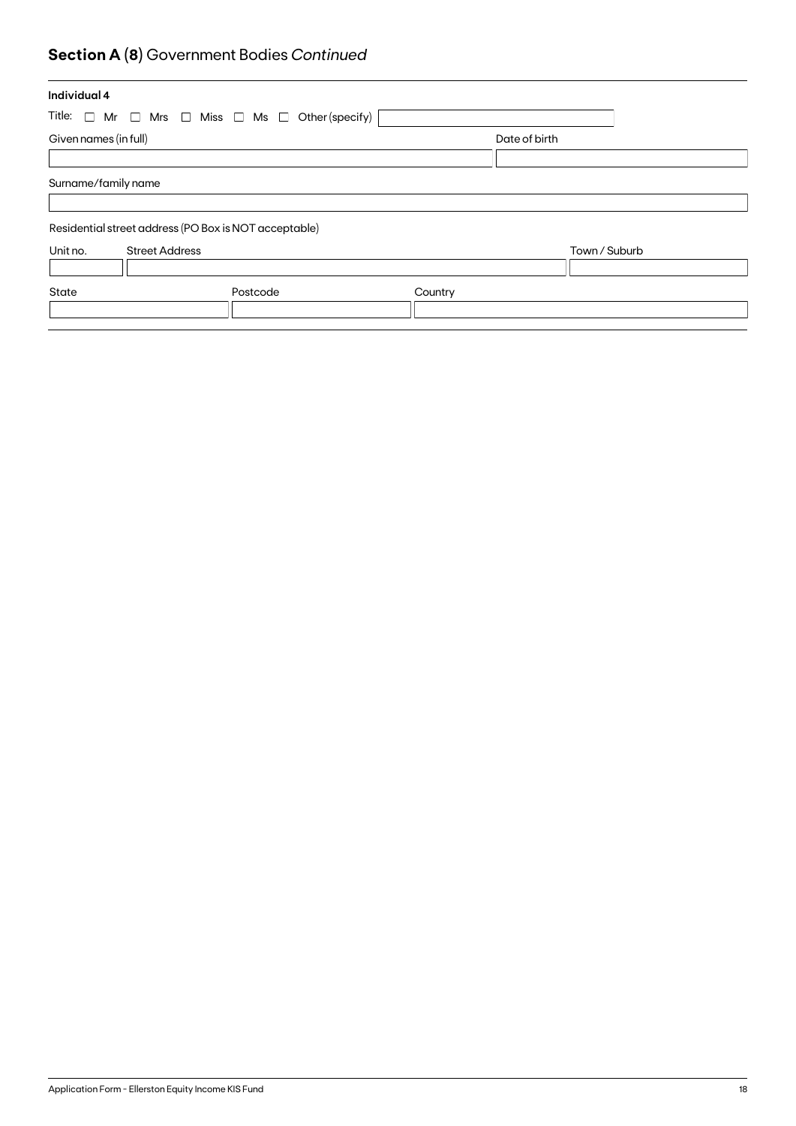## **Section A (8)** Government Bodies *Continued*

| Individual 4          |                                                                             |         |               |  |
|-----------------------|-----------------------------------------------------------------------------|---------|---------------|--|
|                       | Title: $\Box$ Mr $\Box$ Mrs $\Box$ Miss $\Box$ Ms $\Box$<br>Other (specify) |         |               |  |
| Given names (in full) |                                                                             |         | Date of birth |  |
|                       |                                                                             |         |               |  |
| Surname/family name   |                                                                             |         |               |  |
|                       |                                                                             |         |               |  |
|                       | Residential street address (PO Box is NOT acceptable)                       |         |               |  |
| Unit no.              | <b>Street Address</b>                                                       |         | Town / Suburb |  |
|                       |                                                                             |         |               |  |
| State                 | Postcode                                                                    | Country |               |  |
|                       |                                                                             |         |               |  |
|                       |                                                                             |         |               |  |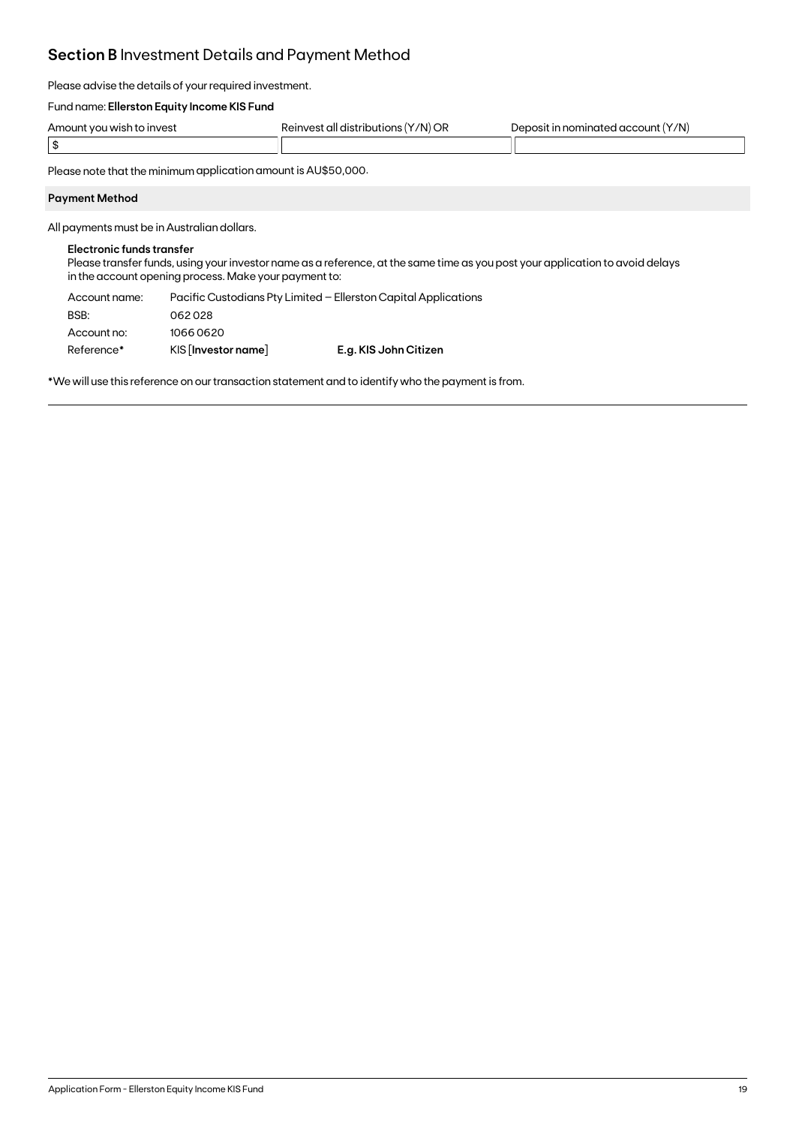### **Section B** Investment Details and Payment Method

Please advise the details of your required investment.

#### Fund name: **Ellerston Equity Income KIS Fund**

| Amount<br>n to invest.<br>, vou wish | '/N) or<br>`ull yızırıbı .<br>RAINVAS <sup>+</sup><br>ne.<br>ШC<br>the contract of the contract of | Y/N)<br>ominated .<br>$\lambda$<br>account<br>- 11 |
|--------------------------------------|----------------------------------------------------------------------------------------------------|----------------------------------------------------|
|                                      |                                                                                                    |                                                    |

Please note that the minimum application amount is AU\$50,000.

#### **Payment Method**

All payments must be in Australian dollars.

#### **Electronic funds transfer**

Please transfer funds, using your investor name as a reference, at the same time as you post your application to avoid delays in the account opening process. Make your payment to:

| Account name: |                       | Pacific Custodians Pty Limited – Ellerston Capital Applications |
|---------------|-----------------------|-----------------------------------------------------------------|
| BSB:          | 062028                |                                                                 |
| Account no:   | 10660620              |                                                                 |
| Reference*    | $KIS$ [Investor name] | E.g. KIS John Citizen                                           |

\*We will use this reference on our transaction statement and to identify who the payment is from.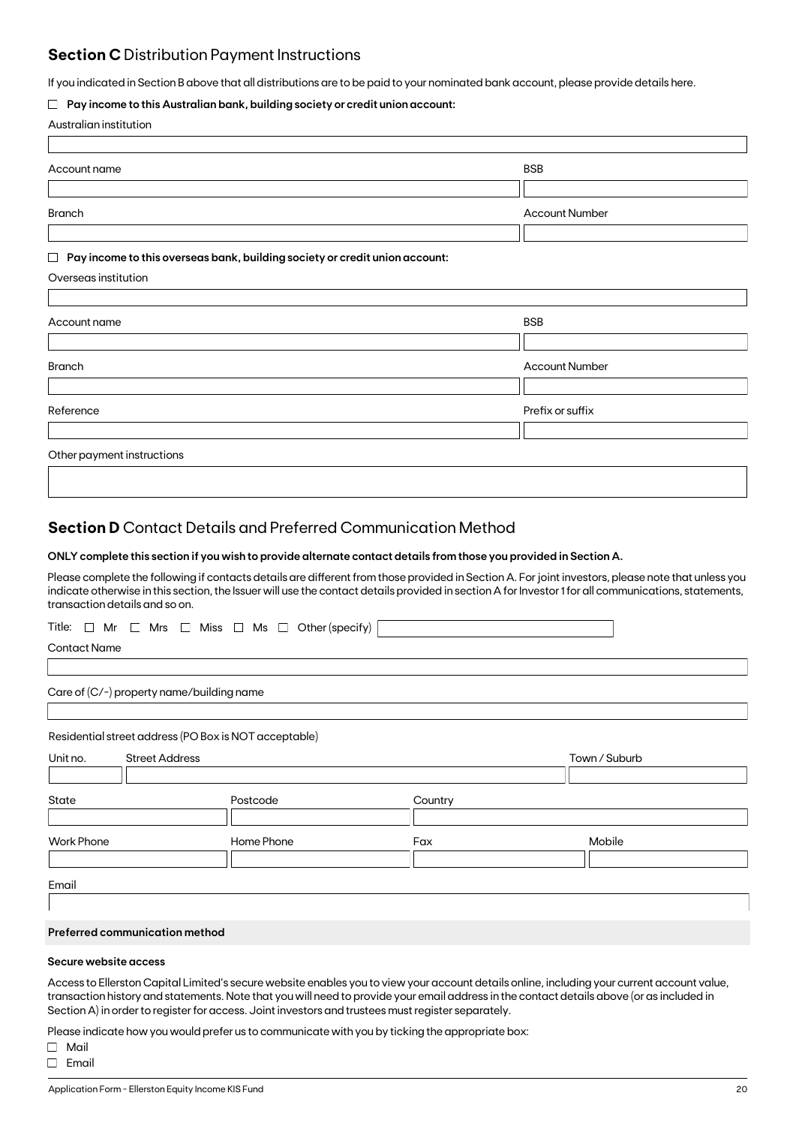### **Section C** Distribution Payment Instructions

If you indicated in Section B above that all distributions are to be paid to your nominated bank account, please provide details here.

#### **Pay income to this Australian bank, building society or credit union account:**

| Australian institution |  |
|------------------------|--|
|------------------------|--|

| Account name                                                                     | <b>BSB</b>            |
|----------------------------------------------------------------------------------|-----------------------|
|                                                                                  |                       |
| <b>Branch</b>                                                                    | <b>Account Number</b> |
|                                                                                  |                       |
| Pay income to this overseas bank, building society or credit union account:<br>Ц |                       |
| Overseas institution                                                             |                       |
|                                                                                  |                       |
| Account name                                                                     | <b>BSB</b>            |
|                                                                                  |                       |
| <b>Branch</b>                                                                    | <b>Account Number</b> |
|                                                                                  |                       |
|                                                                                  |                       |
| Reference                                                                        | Prefix or suffix      |

### **Section D** Contact Details and Preferred Communication Method

#### **ONLY complete this section if you wish to provide alternate contact details from those you provided in Section A.**

Please complete the following if contacts details are different from those provided in Section A. For joint investors, please note that unless you indicate otherwise in this section, the Issuer will use the contact details provided in section A for Investor 1 for all communications, statements, transaction details and so on.

| Title: $\Box$ Mr $\Box$ Mrs $\Box$ Miss $\Box$ Ms $\Box$ Other (specify) |  |
|--------------------------------------------------------------------------|--|
|--------------------------------------------------------------------------|--|

Contact Name

Care of (C/-) property name/building name

Residential street address (PO Box is NOT acceptable)

| Unit no.          | <b>Street Address</b> |            |         | Town / Suburb |  |  |
|-------------------|-----------------------|------------|---------|---------------|--|--|
|                   |                       |            |         |               |  |  |
| State             |                       | Postcode   | Country |               |  |  |
|                   |                       |            |         |               |  |  |
| <b>Work Phone</b> |                       | Home Phone | Fax     | Mobile        |  |  |
|                   |                       |            |         |               |  |  |
| Email             |                       |            |         |               |  |  |
|                   |                       |            |         |               |  |  |

#### **Preferred communication method**

#### **Secure website access**

Access to Ellerston Capital Limited's secure website enables you to view your account details online, including your current account value, transaction history and statements. Note that you will need to provide your email address in the contact details above (or as included in Section A) in order to register for access. Joint investors and trustees must register separately.

Please indicate how you would prefer us to communicate with you by ticking the appropriate box:

Mail  $\Box$  Email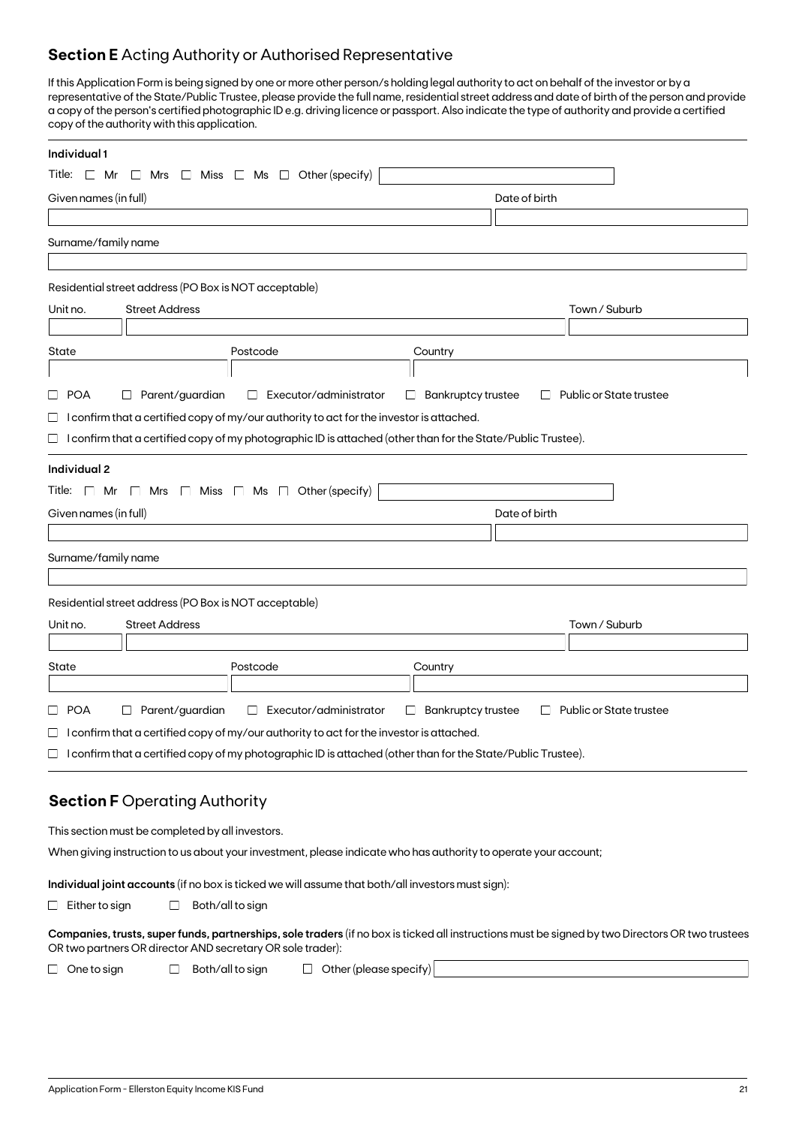### **Section E** Acting Authority or Authorised Representative

If this Application Form is being signed by one or more other person/s holding legal authority to act on behalf of the investor or by a representative of the State/Public Trustee, please provide the full name, residential street address and date of birth of the person and provide a copy of the person's certified photographic ID e.g. driving licence or passport. Also indicate the type of authority and provide a certified copy of the authority with this application.

| Individual 1                                                                                                                                                                                                   |                                                                          |
|----------------------------------------------------------------------------------------------------------------------------------------------------------------------------------------------------------------|--------------------------------------------------------------------------|
| Title: $\Box$ Mr $\Box$ Mrs $\Box$ Miss $\Box$ Ms $\Box$ Other (specify)                                                                                                                                       |                                                                          |
| Given names (in full)                                                                                                                                                                                          | Date of birth                                                            |
|                                                                                                                                                                                                                |                                                                          |
| Surname/family name                                                                                                                                                                                            |                                                                          |
|                                                                                                                                                                                                                |                                                                          |
| Residential street address (PO Box is NOT acceptable)                                                                                                                                                          |                                                                          |
| <b>Street Address</b><br>Unit no.                                                                                                                                                                              | Town / Suburb                                                            |
|                                                                                                                                                                                                                |                                                                          |
| State<br>Postcode                                                                                                                                                                                              | Country                                                                  |
|                                                                                                                                                                                                                |                                                                          |
| $\square$ POA<br>$\Box$ Parent/guardian<br>$\Box$ Executor/administrator                                                                                                                                       | $\Box$ Bankruptcy trustee<br>$\Box$ Public or State trustee              |
| $\Box$ I confirm that a certified copy of my/our authority to act for the investor is attached.                                                                                                                |                                                                          |
| $\Box$ I confirm that a certified copy of my photographic ID is attached (other than for the State/Public Trustee).                                                                                            |                                                                          |
| Individual 2                                                                                                                                                                                                   |                                                                          |
| Title: $\Box$ Mr $\Box$ Mrs $\Box$ Miss $\Box$ Ms $\Box$ Other (specify)                                                                                                                                       |                                                                          |
| Given names (in full)                                                                                                                                                                                          | Date of birth                                                            |
|                                                                                                                                                                                                                |                                                                          |
| Surname/family name                                                                                                                                                                                            |                                                                          |
|                                                                                                                                                                                                                |                                                                          |
| Residential street address (PO Box is NOT acceptable)                                                                                                                                                          |                                                                          |
| <b>Street Address</b><br>Unit no.                                                                                                                                                                              | Town / Suburb                                                            |
| Postcode                                                                                                                                                                                                       |                                                                          |
| State                                                                                                                                                                                                          | Country                                                                  |
| □ POA<br>Parent/guardian<br>Executor/administrator<br>⊔<br>$\Box$                                                                                                                                              | <b>Bankruptcy trustee</b><br>Public or State trustee<br>$\Box$<br>$\Box$ |
| $\Box$ I confirm that a certified copy of my/our authority to act for the investor is attached.                                                                                                                |                                                                          |
| $\Box$ I confirm that a certified copy of my photographic ID is attached (other than for the State/Public Trustee).                                                                                            |                                                                          |
|                                                                                                                                                                                                                |                                                                          |
| <b>Section F Operating Authority</b>                                                                                                                                                                           |                                                                          |
|                                                                                                                                                                                                                |                                                                          |
| This section must be completed by all investors.                                                                                                                                                               |                                                                          |
| When giving instruction to us about your investment, please indicate who has authority to operate your account;                                                                                                |                                                                          |
| Individual joint accounts (if no box is ticked we will assume that both/all investors must sign):                                                                                                              |                                                                          |
| Both/all to sign<br>$\Box$ Either to sign<br>ப                                                                                                                                                                 |                                                                          |
| Companies, trusts, super funds, partnerships, sole traders (if no box is ticked all instructions must be signed by two Directors OR two trustees<br>OR two partners OR director AND secretary OR sole trader): |                                                                          |
| $\Box$ Other (please specify)<br>$\Box$ One to sign<br>Both/all to sign<br>$\Box$                                                                                                                              |                                                                          |
|                                                                                                                                                                                                                |                                                                          |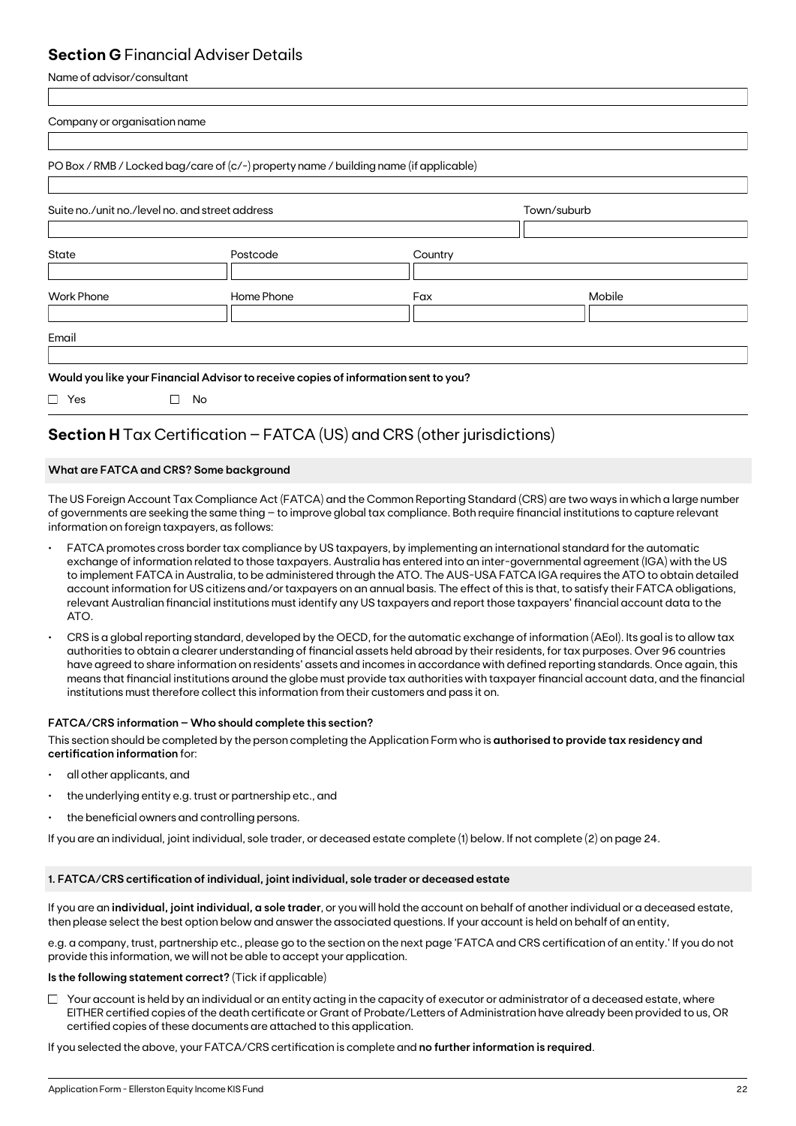### **Section G** Financial Adviser Details

Name of advisor/consultant

| Company or organisation name                    |                                                                                       |         |             |  |
|-------------------------------------------------|---------------------------------------------------------------------------------------|---------|-------------|--|
|                                                 |                                                                                       |         |             |  |
|                                                 | PO Box / RMB / Locked bag/care of (c/-) property name / building name (if applicable) |         |             |  |
|                                                 |                                                                                       |         |             |  |
| Suite no./unit no./level no. and street address |                                                                                       |         | Town/suburb |  |
|                                                 |                                                                                       |         |             |  |
| <b>State</b>                                    | Postcode                                                                              | Country |             |  |
|                                                 |                                                                                       |         |             |  |
| <b>Work Phone</b>                               | Home Phone                                                                            | Fax     | Mobile      |  |
|                                                 |                                                                                       |         |             |  |
| Email                                           |                                                                                       |         |             |  |
|                                                 |                                                                                       |         |             |  |
|                                                 | Would you like your Financial Advisor to receive copies of information sent to you?   |         |             |  |
| $\Box$ Yes                                      | No<br>П                                                                               |         |             |  |

## **Section H** Tax Certification – FATCA (US) and CRS (other jurisdictions)

### **What are FATCA and CRS? Some background**

The US Foreign Account Tax Compliance Act (FATCA) and the Common Reporting Standard (CRS) are two ways in which a large number of governments are seeking the same thing – to improve global tax compliance. Both require financial institutions to capture relevant information on foreign taxpayers, as follows:

- FATCA promotes cross border tax compliance by US taxpayers, by implementing an international standard for the automatic exchange of information related to those taxpayers. Australia has entered into an inter-governmental agreement (IGA) with the US to implement FATCA in Australia, to be administered through the ATO. The AUS-USA FATCA IGA requires the ATO to obtain detailed account information for US citizens and/or taxpayers on an annual basis. The effect of this is that, to satisfy their FATCA obligations, relevant Australian financial institutions must identify any US taxpayers and report those taxpayers' financial account data to the ATO.
- CRS is a global reporting standard, developed by the OECD, for the automatic exchange of information (AEoI). Its goal is to allow tax authorities to obtain a clearer understanding of financial assets held abroad by their residents, for tax purposes. Over 96 countries have agreed to share information on residents' assets and incomes in accordance with defined reporting standards. Once again, this means that financial institutions around the globe must provide tax authorities with taxpayer financial account data, and the financial institutions must therefore collect this information from their customers and pass it on.

### **FATCA/CRS information – Who should complete this section?**

This section should be completed by the person completing the Application Form who is **authorised to provide tax residency and certification information** for:

- all other applicants, and
- the underlying entity e.g. trust or partnership etc., and
- the beneficial owners and controlling persons.

If you are an individual, joint individual, sole trader, or deceased estate complete (1) below. If not complete (2) on page 24.

### **1. FATCA/CRS certification of individual, joint individual, sole trader or deceased estate**

If you are an **individual, joint individual, a sole trader**, or you will hold the account on behalf of another individual or a deceased estate, then please select the best option below and answer the associated questions. If your account is held on behalf of an entity,

e.g. a company, trust, partnership etc., please go to the section on the next page 'FATCA and CRS certification of an entity.' If you do not provide this information, we will not be able to accept your application.

### **Is the following statement correct?** (Tick if applicable)

 $\Box$  Your account is held by an individual or an entity acting in the capacity of executor or administrator of a deceased estate, where EITHER certified copies of the death certificate or Grant of Probate/Letters of Administration have already been provided to us, OR certified copies of these documents are attached to this application.

If you selected the above, your FATCA/CRS certification is complete and **no further information is required**.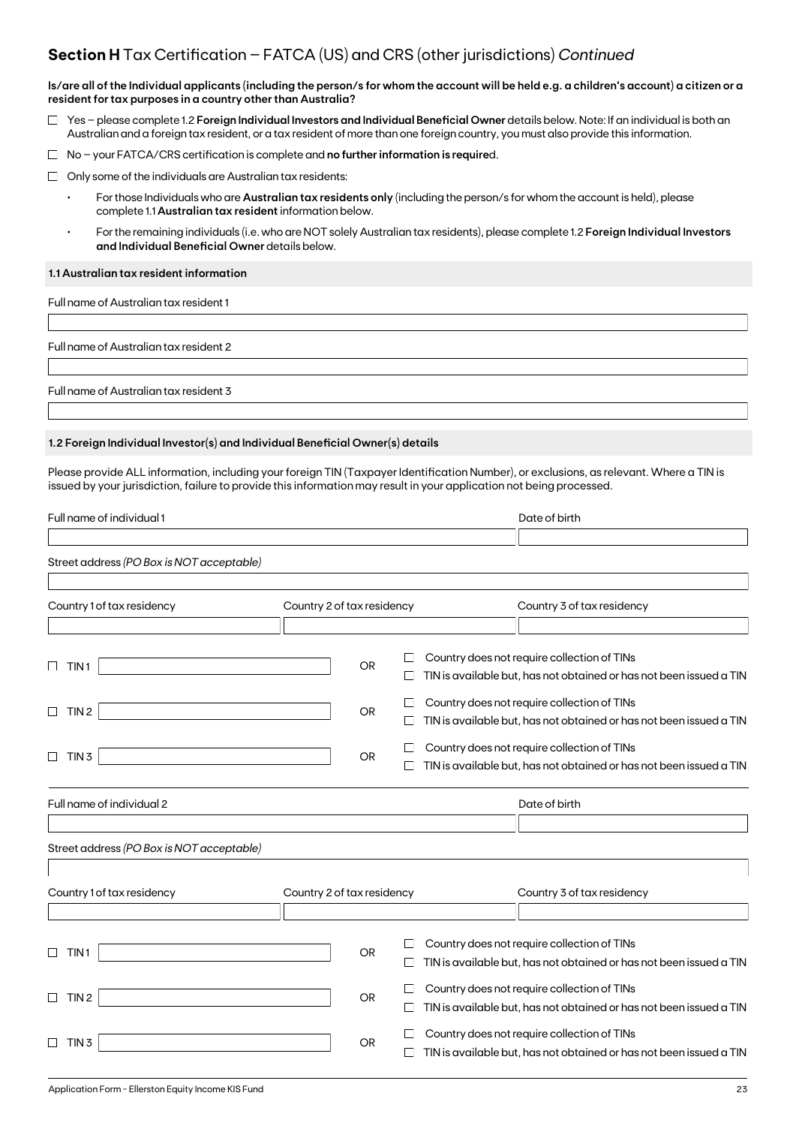### **Section H** Tax Certification – FATCA (US) and CRS (other jurisdictions) *Continued*

**Is/are all of the Individual applicants (including the person/s for whom the account will be held e.g. a children's account) a citizen or a resident for tax purposes in a country other than Australia?**

- Yes please complete 1.2 **Foreign Individual Investors and Individual Beneficial Owner** details below. Note: If an individual is both an Australian and a foreign tax resident, or a tax resident of more than one foreign country, you must also provide this information.
- No your FATCA/CRS certification is complete and **no further information is require**d.
- $\Box$  Only some of the individuals are Australian tax residents:
	- For those Individuals who are **Australian tax residents only** (including the person/s for whom the account is held), please complete 1.1 **Australian tax resident** information below.
	- For the remaining individuals (i.e. who are NOT solely Australian tax residents), please complete 1.2 **Foreign Individual Investors and Individual Beneficial Owner** details below.

#### **1.1 Australian tax resident information**

Full name of Australian tax resident 1

Full name of Australian tax resident 2

Full name of Australian tax resident 3

#### **1.2 Foreign Individual Investor(s) and Individual Beneficial Owner(s) details**

Please provide ALL information, including your foreign TIN (Taxpayer Identification Number), or exclusions, as relevant. Where a TIN is issued by your jurisdiction, failure to provide this information may result in your application not being processed.

| Full name of individual 1                           |                            |        | Date of birth                                                                                                      |
|-----------------------------------------------------|----------------------------|--------|--------------------------------------------------------------------------------------------------------------------|
| Street address (PO Box is NOT acceptable)           |                            |        |                                                                                                                    |
| Country 1 of tax residency                          | Country 2 of tax residency |        | Country 3 of tax residency                                                                                         |
|                                                     |                            |        |                                                                                                                    |
| TIN <sub>1</sub>                                    | <b>OR</b>                  | ப      | Country does not require collection of TINs<br>TIN is available but, has not obtained or has not been issued a TIN |
|                                                     |                            |        |                                                                                                                    |
| TIN <sub>2</sub>                                    | <b>OR</b>                  | ப      | Country does not require collection of TINs                                                                        |
|                                                     |                            | П      | TIN is available but, has not obtained or has not been issued a TIN                                                |
|                                                     |                            | $\Box$ | Country does not require collection of TINs                                                                        |
| TIN <sub>3</sub><br>$\Box$                          | <b>OR</b>                  |        | TIN is available but, has not obtained or has not been issued a TIN                                                |
| Full name of individual 2                           |                            |        | Date of birth                                                                                                      |
|                                                     |                            |        |                                                                                                                    |
| Street address (PO Box is NOT acceptable)           |                            |        |                                                                                                                    |
|                                                     |                            |        |                                                                                                                    |
| Country 1 of tax residency                          | Country 2 of tax residency |        | Country 3 of tax residency                                                                                         |
|                                                     |                            |        |                                                                                                                    |
|                                                     |                            |        | Country does not require collection of TINs                                                                        |
| TIN <sub>1</sub><br>ப                               | <b>OR</b>                  | $\Box$ | TIN is available but, has not obtained or has not been issued a TIN                                                |
|                                                     |                            |        |                                                                                                                    |
| TIN <sub>2</sub>                                    | <b>OR</b>                  | $\Box$ | Country does not require collection of TINs                                                                        |
|                                                     |                            | $\Box$ | TIN is available but, has not obtained or has not been issued a TIN                                                |
| TIN <sub>3</sub>                                    | OR                         |        | Country does not require collection of TINs                                                                        |
|                                                     |                            | $\Box$ | TIN is available but, has not obtained or has not been issued a TIN                                                |
| Application Form - Ellerston Equity Income KIS Fund |                            |        | 23                                                                                                                 |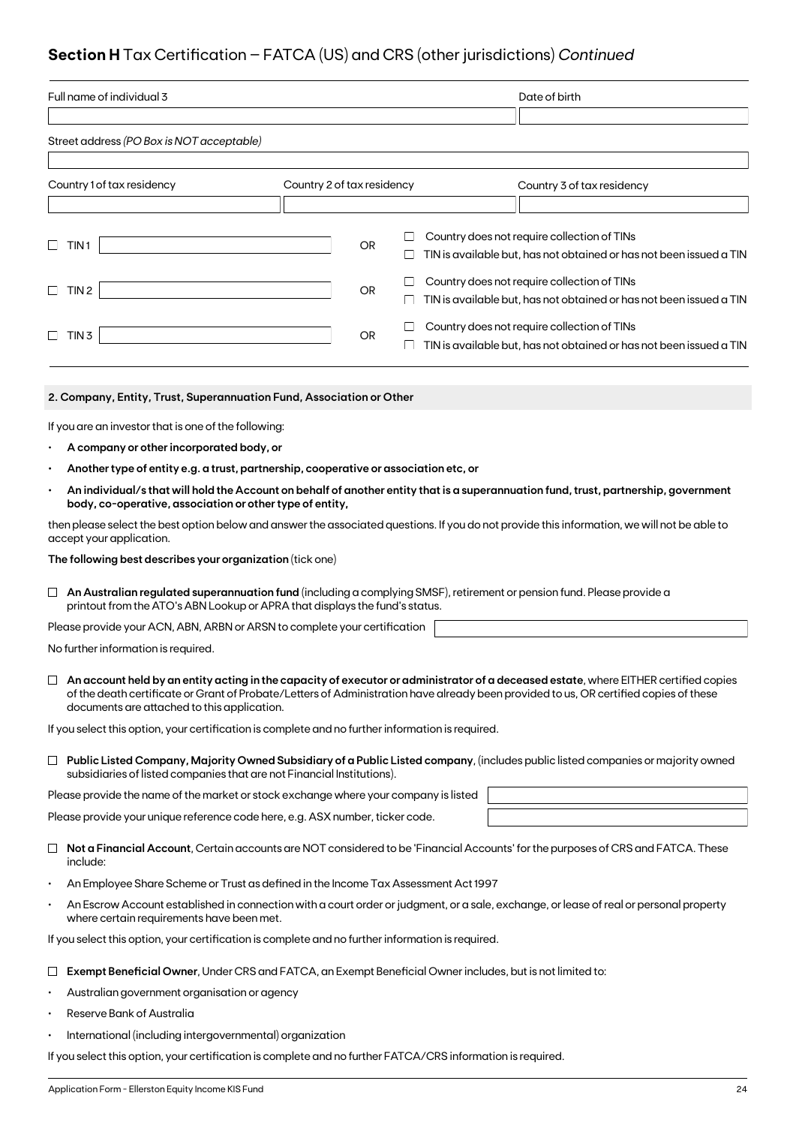## **Section H** Tax Certification – FATCA (US) and CRS (other jurisdictions) *Continued*

| Full name of individual 3                                                                                                                                                                                                                                                                                                    |                                                                                                                                                                                                                   |                            |           |                  | Date of birth |  |                                                                                                                    |
|------------------------------------------------------------------------------------------------------------------------------------------------------------------------------------------------------------------------------------------------------------------------------------------------------------------------------|-------------------------------------------------------------------------------------------------------------------------------------------------------------------------------------------------------------------|----------------------------|-----------|------------------|---------------|--|--------------------------------------------------------------------------------------------------------------------|
|                                                                                                                                                                                                                                                                                                                              | Street address (PO Box is NOT acceptable)                                                                                                                                                                         |                            |           |                  |               |  |                                                                                                                    |
|                                                                                                                                                                                                                                                                                                                              |                                                                                                                                                                                                                   |                            |           |                  |               |  |                                                                                                                    |
|                                                                                                                                                                                                                                                                                                                              | Country 1 of tax residency                                                                                                                                                                                        | Country 2 of tax residency |           |                  |               |  | Country 3 of tax residency                                                                                         |
|                                                                                                                                                                                                                                                                                                                              |                                                                                                                                                                                                                   |                            |           |                  |               |  |                                                                                                                    |
|                                                                                                                                                                                                                                                                                                                              | TIN1                                                                                                                                                                                                              |                            | <b>OR</b> | ш                |               |  | Country does not require collection of TINs<br>TIN is available but, has not obtained or has not been issued a TIN |
|                                                                                                                                                                                                                                                                                                                              | $\Box$ TIN 2                                                                                                                                                                                                      |                            | <b>OR</b> | ⊔<br>ப           |               |  | Country does not require collection of TINs<br>TIN is available but, has not obtained or has not been issued a TIN |
|                                                                                                                                                                                                                                                                                                                              | $\Box$ TIN 3                                                                                                                                                                                                      |                            | OR        | $\Box$<br>$\Box$ |               |  | Country does not require collection of TINs<br>TIN is available but, has not obtained or has not been issued a TIN |
|                                                                                                                                                                                                                                                                                                                              | 2. Company, Entity, Trust, Superannuation Fund, Association or Other                                                                                                                                              |                            |           |                  |               |  |                                                                                                                    |
|                                                                                                                                                                                                                                                                                                                              | If you are an investor that is one of the following:                                                                                                                                                              |                            |           |                  |               |  |                                                                                                                    |
|                                                                                                                                                                                                                                                                                                                              | A company or other incorporated body, or                                                                                                                                                                          |                            |           |                  |               |  |                                                                                                                    |
|                                                                                                                                                                                                                                                                                                                              | Another type of entity e.g. a trust, partnership, cooperative or association etc, or                                                                                                                              |                            |           |                  |               |  |                                                                                                                    |
|                                                                                                                                                                                                                                                                                                                              | An individual/s that will hold the Account on behalf of another entity that is a superannuation fund, trust, partnership, government<br>body, co-operative, association or other type of entity,                  |                            |           |                  |               |  |                                                                                                                    |
|                                                                                                                                                                                                                                                                                                                              | then please select the best option below and answer the associated questions. If you do not provide this information, we will not be able to<br>accept your application.                                          |                            |           |                  |               |  |                                                                                                                    |
|                                                                                                                                                                                                                                                                                                                              | The following best describes your organization (tick one)                                                                                                                                                         |                            |           |                  |               |  |                                                                                                                    |
|                                                                                                                                                                                                                                                                                                                              | $\Box$ An Australian regulated superannuation fund (including a complying SMSF), retirement or pension fund. Please provide a<br>printout from the ATO's ABN Lookup or APRA that displays the fund's status.      |                            |           |                  |               |  |                                                                                                                    |
|                                                                                                                                                                                                                                                                                                                              | Please provide your ACN, ABN, ARBN or ARSN to complete your certification                                                                                                                                         |                            |           |                  |               |  |                                                                                                                    |
| No further information is required.                                                                                                                                                                                                                                                                                          |                                                                                                                                                                                                                   |                            |           |                  |               |  |                                                                                                                    |
| An account held by an entity acting in the capacity of executor or administrator of a deceased estate, where EITHER certified copies<br>of the death certificate or Grant of Probate/Letters of Administration have already been provided to us, OR certified copies of these<br>documents are attached to this application. |                                                                                                                                                                                                                   |                            |           |                  |               |  |                                                                                                                    |
|                                                                                                                                                                                                                                                                                                                              | If you select this option, your certification is complete and no further information is required.                                                                                                                 |                            |           |                  |               |  |                                                                                                                    |
|                                                                                                                                                                                                                                                                                                                              | $\Box$ Public Listed Company, Majority Owned Subsidiary of a Public Listed company, (includes public listed companies or majority owned<br>subsidiaries of listed companies that are not Financial Institutions). |                            |           |                  |               |  |                                                                                                                    |
|                                                                                                                                                                                                                                                                                                                              | Please provide the name of the market or stock exchange where your company is listed                                                                                                                              |                            |           |                  |               |  |                                                                                                                    |
|                                                                                                                                                                                                                                                                                                                              | Please provide your unique reference code here, e.g. ASX number, ticker code.                                                                                                                                     |                            |           |                  |               |  |                                                                                                                    |
| ⊔                                                                                                                                                                                                                                                                                                                            | Not a Financial Account, Certain accounts are NOT considered to be 'Financial Accounts' for the purposes of CRS and FATCA. These<br>include:                                                                      |                            |           |                  |               |  |                                                                                                                    |
| $\bullet$                                                                                                                                                                                                                                                                                                                    | An Employee Share Scheme or Trust as defined in the Income Tax Assessment Act 1997                                                                                                                                |                            |           |                  |               |  |                                                                                                                    |
| $\bullet$                                                                                                                                                                                                                                                                                                                    | An Escrow Account established in connection with a court order or judgment, or a sale, exchange, or lease of real or personal property<br>where certain requirements have been met.                               |                            |           |                  |               |  |                                                                                                                    |
|                                                                                                                                                                                                                                                                                                                              | If you select this option, your certification is complete and no further information is required.                                                                                                                 |                            |           |                  |               |  |                                                                                                                    |
|                                                                                                                                                                                                                                                                                                                              | Exempt Beneficial Owner, Under CRS and FATCA, an Exempt Beneficial Owner includes, but is not limited to:                                                                                                         |                            |           |                  |               |  |                                                                                                                    |

- Australian government organisation or agency
- Reserve Bank of Australia
- International (including intergovernmental) organization

If you select this option, your certification is complete and no further FATCA/CRS information is required.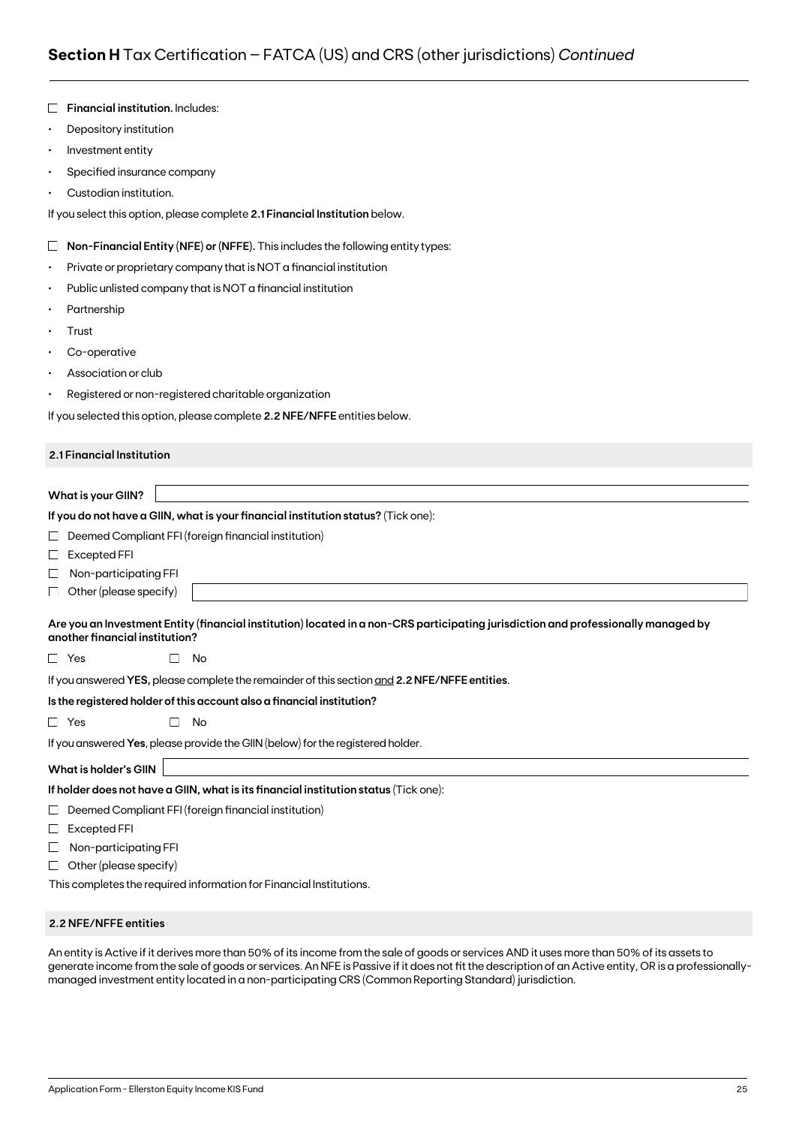|           | Depository institution                                                                                                                                               |  |  |  |  |  |  |  |
|-----------|----------------------------------------------------------------------------------------------------------------------------------------------------------------------|--|--|--|--|--|--|--|
| $\bullet$ | Investment entity                                                                                                                                                    |  |  |  |  |  |  |  |
| $\bullet$ | Specified insurance company                                                                                                                                          |  |  |  |  |  |  |  |
|           | Custodian institution.                                                                                                                                               |  |  |  |  |  |  |  |
|           | If you select this option, please complete 2.1 Financial Institution below.                                                                                          |  |  |  |  |  |  |  |
| Ш         | Non-Financial Entity (NFE) or (NFFE). This includes the following entity types:                                                                                      |  |  |  |  |  |  |  |
| $\bullet$ | Private or proprietary company that is NOT a financial institution                                                                                                   |  |  |  |  |  |  |  |
| $\bullet$ | Public unlisted company that is NOT a financial institution                                                                                                          |  |  |  |  |  |  |  |
| ٠         | Partnership                                                                                                                                                          |  |  |  |  |  |  |  |
|           | Trust                                                                                                                                                                |  |  |  |  |  |  |  |
|           | Co-operative                                                                                                                                                         |  |  |  |  |  |  |  |
|           | Association or club                                                                                                                                                  |  |  |  |  |  |  |  |
| $\bullet$ | Registered or non-registered charitable organization                                                                                                                 |  |  |  |  |  |  |  |
|           | If you selected this option, please complete 2.2 NFE/NFFE entities below.                                                                                            |  |  |  |  |  |  |  |
|           |                                                                                                                                                                      |  |  |  |  |  |  |  |
|           | 2.1 Financial Institution                                                                                                                                            |  |  |  |  |  |  |  |
|           |                                                                                                                                                                      |  |  |  |  |  |  |  |
|           | What is your GIIN?                                                                                                                                                   |  |  |  |  |  |  |  |
|           | If you do not have a GIIN, what is your financial institution status? (Tick one):                                                                                    |  |  |  |  |  |  |  |
| ⊔         | Deemed Compliant FFI (foreign financial institution)                                                                                                                 |  |  |  |  |  |  |  |
|           |                                                                                                                                                                      |  |  |  |  |  |  |  |
| ⊔         | <b>Excepted FFI</b>                                                                                                                                                  |  |  |  |  |  |  |  |
| ⊔         | Non-participating FFI                                                                                                                                                |  |  |  |  |  |  |  |
| ப         | Other (please specify)                                                                                                                                               |  |  |  |  |  |  |  |
|           | Are you an Investment Entity (financial institution) located in a non-CRS participating jurisdiction and professionally managed by<br>another financial institution? |  |  |  |  |  |  |  |
|           | □ Yes<br>No<br>$\perp$                                                                                                                                               |  |  |  |  |  |  |  |
|           | If you answered YES, please complete the remainder of this section and 2.2 NFE/NFFE entities.                                                                        |  |  |  |  |  |  |  |
|           |                                                                                                                                                                      |  |  |  |  |  |  |  |
| $\Box$    | Is the registered holder of this account also a financial institution?<br>No<br>$\Box$                                                                               |  |  |  |  |  |  |  |
|           | Yes<br>If you answered Yes, please provide the GIIN (below) for the registered holder.                                                                               |  |  |  |  |  |  |  |
|           | <b>What is holder's GIIN</b>                                                                                                                                         |  |  |  |  |  |  |  |
|           | If holder does not have a GIIN, what is its financial institution status (Tick one):                                                                                 |  |  |  |  |  |  |  |
| ப         | Deemed Compliant FFI (foreign financial institution)                                                                                                                 |  |  |  |  |  |  |  |
| ப         | <b>Excepted FFI</b>                                                                                                                                                  |  |  |  |  |  |  |  |
| ப         | Non-participating FFI                                                                                                                                                |  |  |  |  |  |  |  |
| ப         | Other (please specify)                                                                                                                                               |  |  |  |  |  |  |  |

#### **2.2 NFE/NFFE entities**

**Financial institution.** Includes:

An entity is Active if it derives more than 50% of its income from the sale of goods or services AND it uses more than 50% of its assets to generate income from the sale of goods or services. An NFE is Passive if it does not fit the description of an Active entity, OR is a professionallymanaged investment entity located in a non-participating CRS (Common Reporting Standard) jurisdiction.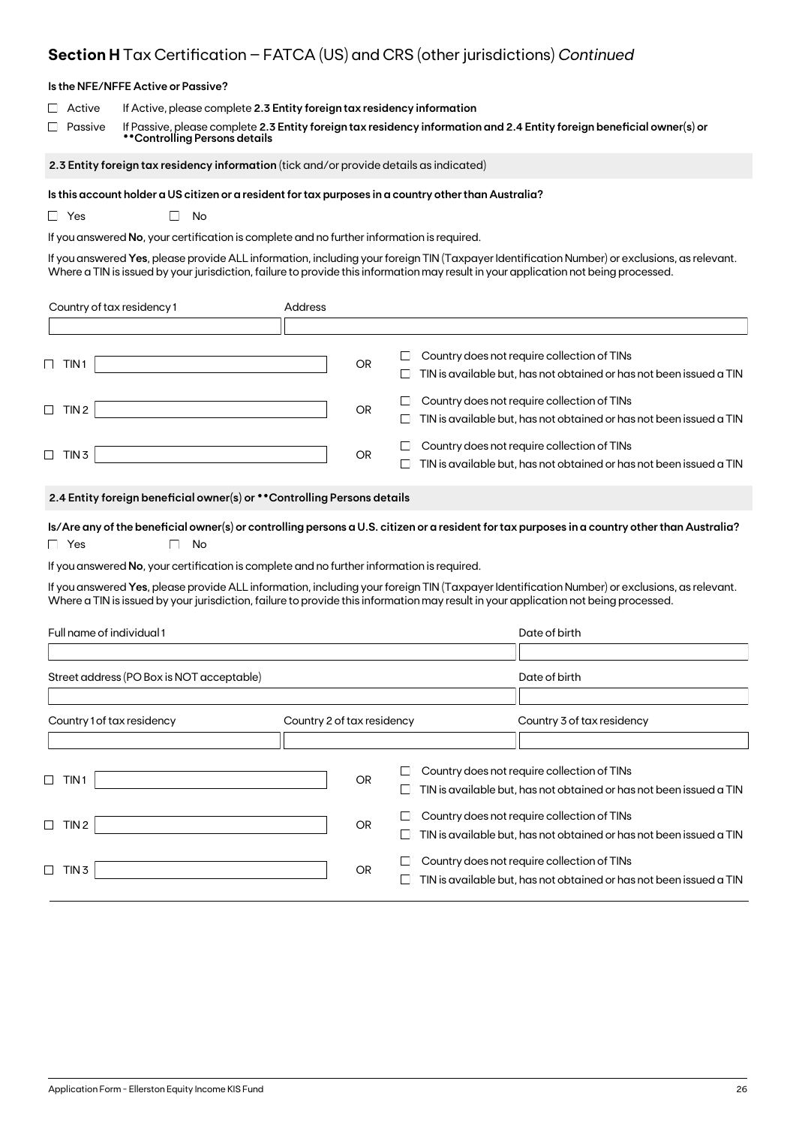## **Section H** Tax Certification – FATCA (US) and CRS (other jurisdictions) *Continued*

| Is the NFE/NFFE Active or Passive?                                                                                                                                                                                                                      |                                                                                                                                                                                                                           |                            |           |             |                                                                                                                                                                                                                                                                                     |
|---------------------------------------------------------------------------------------------------------------------------------------------------------------------------------------------------------------------------------------------------------|---------------------------------------------------------------------------------------------------------------------------------------------------------------------------------------------------------------------------|----------------------------|-----------|-------------|-------------------------------------------------------------------------------------------------------------------------------------------------------------------------------------------------------------------------------------------------------------------------------------|
| If Active, please complete 2.3 Entity foreign tax residency information<br>Active<br>Passive<br>If Passive, please complete 2.3 Entity foreign tax residency information and 2.4 Entity foreign beneficial owner(s) or<br>**Controlling Persons details |                                                                                                                                                                                                                           |                            |           |             |                                                                                                                                                                                                                                                                                     |
|                                                                                                                                                                                                                                                         | 2.3 Entity foreign tax residency information (tick and/or provide details as indicated)                                                                                                                                   |                            |           |             |                                                                                                                                                                                                                                                                                     |
| □ Yes                                                                                                                                                                                                                                                   | Is this account holder a US citizen or a resident for tax purposes in a country other than Australia?<br>No<br>$\mathbf{L}$<br>If you answered No, your certification is complete and no further information is required. |                            |           |             | If you answered Yes, please provide ALL information, including your foreign TIN (Taxpayer Identification Number) or exclusions, as relevant.<br>Where a TIN is issued by your jurisdiction, failure to provide this information may result in your application not being processed. |
| Country of tax residency 1                                                                                                                                                                                                                              |                                                                                                                                                                                                                           | Address                    |           |             |                                                                                                                                                                                                                                                                                     |
|                                                                                                                                                                                                                                                         |                                                                                                                                                                                                                           |                            |           |             |                                                                                                                                                                                                                                                                                     |
| $\Box$ TIN1                                                                                                                                                                                                                                             |                                                                                                                                                                                                                           |                            | <b>OR</b> | $\Box$<br>ப | Country does not require collection of TINs<br>TIN is available but, has not obtained or has not been issued a TIN                                                                                                                                                                  |
| $\Box$ TIN 2                                                                                                                                                                                                                                            |                                                                                                                                                                                                                           |                            | OR        | ப<br>ப      | Country does not require collection of TINs<br>TIN is available but, has not obtained or has not been issued a TIN                                                                                                                                                                  |
| $\Box$ TIN 3                                                                                                                                                                                                                                            |                                                                                                                                                                                                                           |                            | OR        |             | Country does not require collection of TINs<br>TIN is available but, has not obtained or has not been issued a TIN                                                                                                                                                                  |
|                                                                                                                                                                                                                                                         | 2.4 Entity foreign beneficial owner(s) or ** Controlling Persons details                                                                                                                                                  |                            |           |             |                                                                                                                                                                                                                                                                                     |
| Is/Are any of the beneficial owner(s) or controlling persons a U.S. citizen or a resident for tax purposes in a country other than Australia?<br>$\Box$ Yes<br>No                                                                                       |                                                                                                                                                                                                                           |                            |           |             |                                                                                                                                                                                                                                                                                     |
|                                                                                                                                                                                                                                                         | If you answered No, your certification is complete and no further information is required.                                                                                                                                |                            |           |             |                                                                                                                                                                                                                                                                                     |
|                                                                                                                                                                                                                                                         |                                                                                                                                                                                                                           |                            |           |             | If you answered Yes, please provide ALL information, including your foreign TIN (Taxpayer Identification Number) or exclusions, as relevant.<br>Where a TIN is issued by your jurisdiction, failure to provide this information may result in your application not being processed. |
| Full name of individual 1                                                                                                                                                                                                                               |                                                                                                                                                                                                                           |                            |           |             | Date of birth                                                                                                                                                                                                                                                                       |
| Street address (PO Box is NOT acceptable)                                                                                                                                                                                                               |                                                                                                                                                                                                                           |                            |           |             | Date of birth                                                                                                                                                                                                                                                                       |
|                                                                                                                                                                                                                                                         |                                                                                                                                                                                                                           |                            |           |             |                                                                                                                                                                                                                                                                                     |
| Country 1 of tax residency                                                                                                                                                                                                                              |                                                                                                                                                                                                                           | Country 2 of tax residency |           |             | Country 3 of tax residency                                                                                                                                                                                                                                                          |
| TIN 1<br>⊔                                                                                                                                                                                                                                              |                                                                                                                                                                                                                           |                            | <b>OR</b> | ப           | Country does not require collection of TINs<br>TIN is available but, has not obtained or has not been issued a TIN                                                                                                                                                                  |
| $\Box$ TIN 2                                                                                                                                                                                                                                            |                                                                                                                                                                                                                           |                            | <b>OR</b> | $\Box$<br>ப | Country does not require collection of TINs<br>TIN is available but, has not obtained or has not been issued a TIN                                                                                                                                                                  |
| $\Box$ TIN 3                                                                                                                                                                                                                                            |                                                                                                                                                                                                                           |                            | OR        | ப<br>$\Box$ | Country does not require collection of TINs<br>TIN is available but, has not obtained or has not been issued a TIN                                                                                                                                                                  |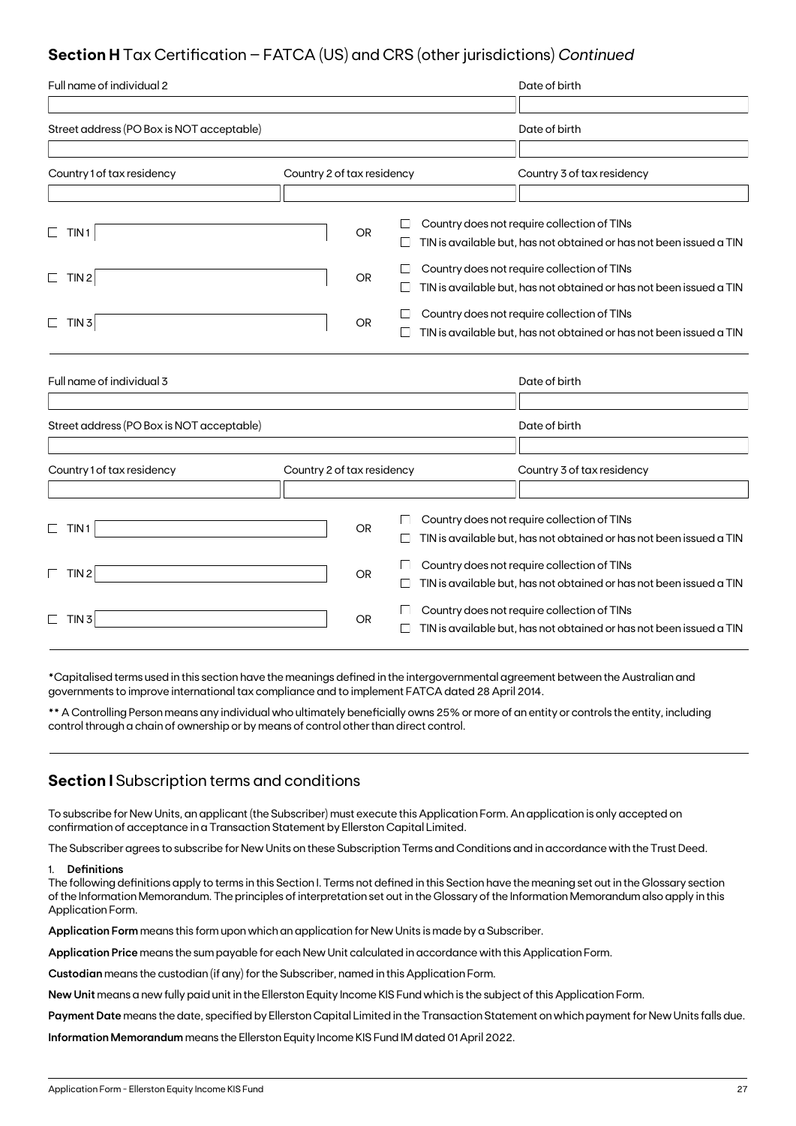### **Section H** Tax Certification – FATCA (US) and CRS (other jurisdictions) *Continued*

| Full name of individual 2                 |                            |           |        | Date of birth                                                       |
|-------------------------------------------|----------------------------|-----------|--------|---------------------------------------------------------------------|
|                                           |                            |           |        |                                                                     |
| Street address (PO Box is NOT acceptable) |                            |           |        | Date of birth                                                       |
|                                           |                            |           |        |                                                                     |
| Country 1 of tax residency                | Country 2 of tax residency |           |        | Country 3 of tax residency                                          |
|                                           |                            |           |        |                                                                     |
|                                           |                            |           |        | Country does not require collection of TINs                         |
| TIN <sub>1</sub><br>$\Box$                |                            | <b>OR</b> |        | TIN is available but, has not obtained or has not been issued a TIN |
| TIN <sub>2</sub><br>$\Box$                |                            | OR        |        | Country does not require collection of TINs                         |
|                                           |                            |           | $\Box$ | TIN is available but, has not obtained or has not been issued a TIN |
| TIN <sub>3</sub><br>$\Box$                |                            | <b>OR</b> |        | Country does not require collection of TINs                         |
|                                           |                            |           |        | TIN is available but, has not obtained or has not been issued a TIN |
|                                           |                            |           |        |                                                                     |
| Full name of individual 3                 |                            |           |        | Date of birth                                                       |
|                                           |                            |           |        |                                                                     |
| Street address (PO Box is NOT acceptable) |                            |           |        | Date of birth                                                       |
|                                           |                            |           |        |                                                                     |
| Country 1 of tax residency                | Country 2 of tax residency |           |        | Country 3 of tax residency                                          |
|                                           |                            |           |        |                                                                     |
|                                           |                            | <b>OR</b> |        | Country does not require collection of TINs                         |
| TIN1<br>⊔                                 |                            |           | $\Box$ | TIN is available but, has not obtained or has not been issued a TIN |
| TIN <sub>2</sub><br>$\Box$                |                            | <b>OR</b> |        | Country does not require collection of TINs                         |
|                                           |                            |           | $\Box$ | TIN is available but, has not obtained or has not been issued a TIN |
| $\Box$<br>TIN <sub>3</sub>                |                            | <b>OR</b> |        | Country does not require collection of TINs                         |
|                                           |                            |           |        | TIN is available but, has not obtained or has not been issued a TIN |

\*Capitalised terms used in this section have the meanings defined in the intergovernmental agreement between the Australian and governments to improve international tax compliance and to implement FATCA dated 28 April 2014.

\*\* A Controlling Person means any individual who ultimately beneficially owns 25% or more of an entity or controls the entity, including control through a chain of ownership or by means of control other than direct control.

### **Section I** Subscription terms and conditions

To subscribe for New Units, an applicant (the Subscriber) must execute this Application Form. An application is only accepted on confirmation of acceptance in a Transaction Statement by Ellerston Capital Limited.

The Subscriber agrees to subscribe for New Units on these Subscription Terms and Conditions and in accordance with the Trust Deed.

#### 1. **Definitions**

The following definitions apply to terms in this Section I. Terms not defined in this Section have the meaning set out in the Glossary section of the Information Memorandum. The principles of interpretation set out in the Glossary of the Information Memorandum also apply in this Application Form.

**Application Form** means this form upon which an application for New Units is made by a Subscriber.

**Application Price** means the sum payable for each New Unit calculated in accordance with this Application Form.

**Custodian** means the custodian (if any) for the Subscriber, named in this Application Form.

**New Unit** means a new fully paid unit in the Ellerston Equity Income KIS Fund which is the subject of this Application Form.

**Payment Date** means the date, specified by Ellerston Capital Limited in the Transaction Statement on which payment for New Units falls due.

**Information Memorandum** means the Ellerston Equity Income KIS Fund IM dated 01 April 2022.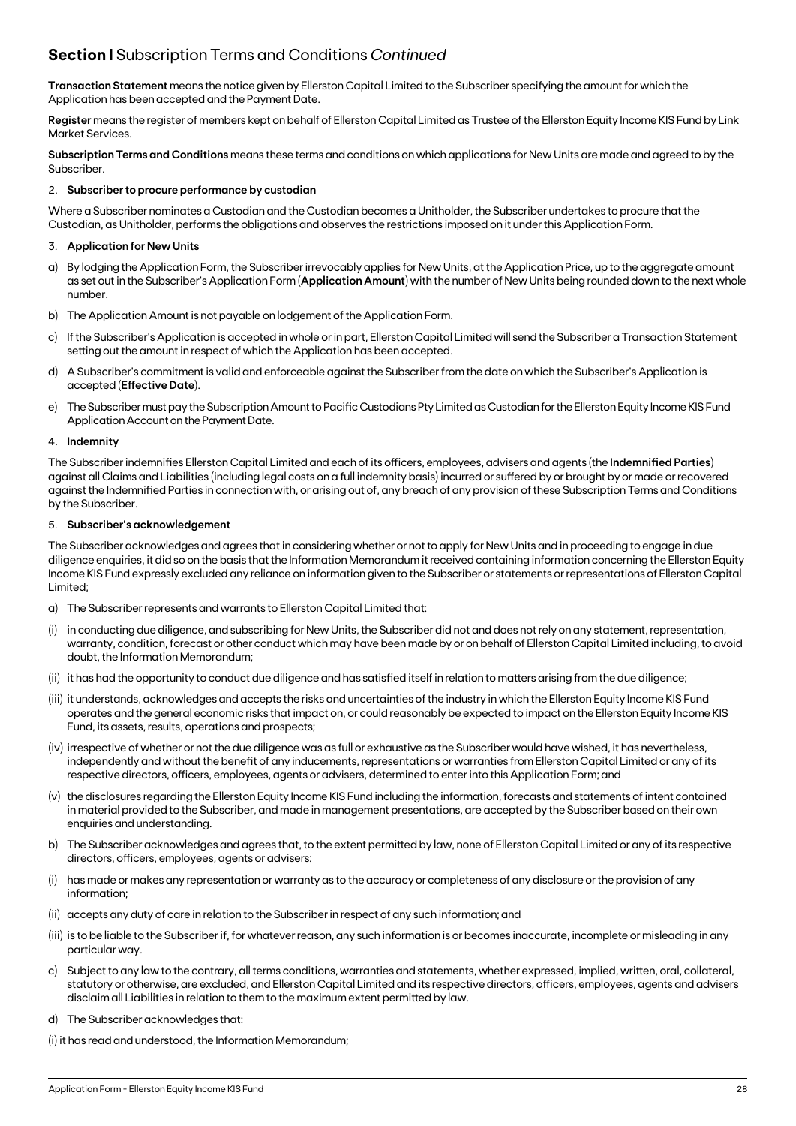### **Section I** Subscription Terms and Conditions *Continued*

**Transaction Statement** means the notice given by Ellerston Capital Limited to the Subscriber specifying the amount for which the Application has been accepted and the Payment Date.

**Register** means the register of members kept on behalf of Ellerston Capital Limited as Trustee of the Ellerston Equity Income KIS Fund by Link Market Services.

**Subscription Terms and Conditions** means these terms and conditions on which applications for New Units are made and agreed to by the Subscriber.

#### 2. **Subscriber to procure performance by custodian**

Where a Subscriber nominates a Custodian and the Custodian becomes a Unitholder, the Subscriber undertakes to procure that the Custodian, as Unitholder, performs the obligations and observes the restrictions imposed on it under this Application Form.

#### 3. **Application for New Units**

- a) By lodging the Application Form, the Subscriber irrevocably applies for New Units, at the Application Price, up to the aggregate amount as set out in the Subscriber's Application Form (**Application Amount**) with the number of New Units being rounded down to the next whole number.
- b) The Application Amount is not payable on lodgement of the Application Form.
- c) If the Subscriber's Application is accepted in whole or in part, Ellerston Capital Limited will send the Subscriber a Transaction Statement setting out the amount in respect of which the Application has been accepted.
- d) A Subscriber's commitment is valid and enforceable against the Subscriber from the date on which the Subscriber's Application is accepted (**Effective Date**).
- e) The Subscriber must pay the Subscription Amount to Pacific Custodians Pty Limited as Custodian for the Ellerston Equity Income KIS Fund Application Account on the Payment Date.

#### 4. **Indemnity**

The Subscriber indemnifies Ellerston Capital Limited and each of its officers, employees, advisers and agents (the **Indemnified Parties**) against all Claims and Liabilities (including legal costs on a full indemnity basis) incurred or suffered by or brought by or made or recovered against the Indemnified Parties in connection with, or arising out of, any breach of any provision of these Subscription Terms and Conditions by the Subscriber.

#### 5. **Subscriber's acknowledgement**

The Subscriber acknowledges and agrees that in considering whether or not to apply for New Units and in proceeding to engage in due diligence enquiries, it did so on the basis that the Information Memorandum it received containing information concerning the Ellerston Equity Income KIS Fund expressly excluded any reliance on information given to the Subscriber or statements or representations of Ellerston Capital Limited;

- a) The Subscriber represents and warrants to Ellerston Capital Limited that:
- (i) in conducting due diligence, and subscribing for New Units, the Subscriber did not and does not rely on any statement, representation, warranty, condition, forecast or other conduct which may have been made by or on behalf of Ellerston Capital Limited including, to avoid doubt, the Information Memorandum;
- (ii) it has had the opportunity to conduct due diligence and has satisfied itself in relation to matters arising from the due diligence;
- (iii) it understands, acknowledges and accepts the risks and uncertainties of the industry in which the Ellerston Equity Income KIS Fund operates and the general economic risks that impact on, or could reasonably be expected to impact on the Ellerston Equity Income KIS Fund, its assets, results, operations and prospects;
- (iv) irrespective of whether or not the due diligence was as full or exhaustive as the Subscriber would have wished, it has nevertheless, independently and without the benefit of any inducements, representations or warranties from Ellerston Capital Limited or any of its respective directors, officers, employees, agents or advisers, determined to enter into this Application Form; and
- (v) the disclosures regarding the Ellerston Equity Income KIS Fund including the information, forecasts and statements of intent contained in material provided to the Subscriber, and made in management presentations, are accepted by the Subscriber based on their own enquiries and understanding.
- b) The Subscriber acknowledges and agrees that, to the extent permitted by law, none of Ellerston Capital Limited or any of its respective directors, officers, employees, agents or advisers:
- (i) has made or makes any representation or warranty as to the accuracy or completeness of any disclosure or the provision of any information;
- (ii) accepts any duty of care in relation to the Subscriber in respect of any such information; and
- (iii) is to be liable to the Subscriber if, for whatever reason, any such information is or becomes inaccurate, incomplete or misleading in any particular way.
- c) Subject to any law to the contrary, all terms conditions, warranties and statements, whether expressed, implied, written, oral, collateral, statutory or otherwise, are excluded, and Ellerston Capital Limited and its respective directors, officers, employees, agents and advisers disclaim all Liabilities in relation to them to the maximum extent permitted by law.
- d) The Subscriber acknowledges that:
- (i) it has read and understood, the Information Memorandum;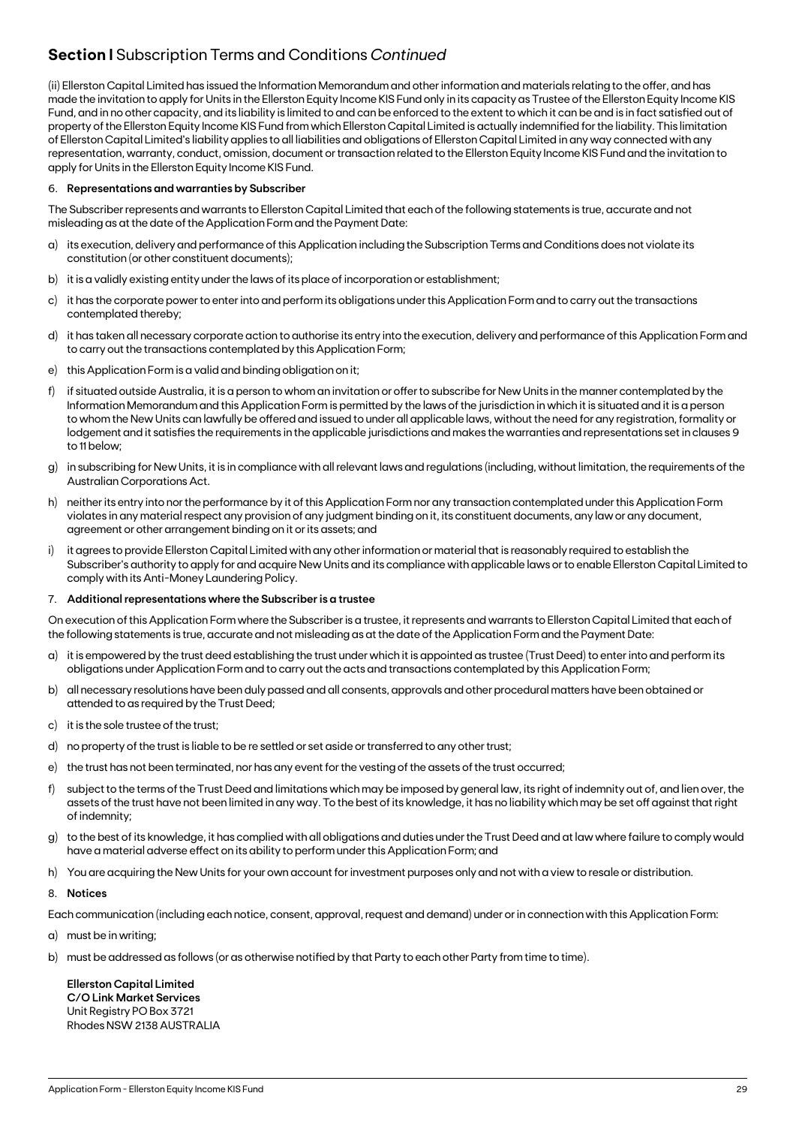### **Section I** Subscription Terms and Conditions *Continued*

(ii) Ellerston Capital Limited has issued the Information Memorandum and other information and materials relating to the offer, and has made the invitation to apply for Units in the Ellerston Equity Income KIS Fund only in its capacity as Trustee of the Ellerston Equity Income KIS Fund, and in no other capacity, and its liability is limited to and can be enforced to the extent to which it can be and is in fact satisfied out of property of the Ellerston Equity Income KIS Fund from which Ellerston Capital Limited is actually indemnified for the liability. This limitation of Ellerston Capital Limited's liability applies to all liabilities and obligations of Ellerston Capital Limited in any way connected with any representation, warranty, conduct, omission, document or transaction related to the Ellerston Equity Income KIS Fund and the invitation to apply for Units in the Ellerston Equity Income KIS Fund.

#### 6. **Representations and warranties by Subscriber**

The Subscriber represents and warrants to Ellerston Capital Limited that each of the following statements is true, accurate and not misleading as at the date of the Application Form and the Payment Date:

- a) its execution, delivery and performance of this Application including the Subscription Terms and Conditions does not violate its constitution (or other constituent documents);
- b) it is a validly existing entity under the laws of its place of incorporation or establishment;
- c) it has the corporate power to enter into and perform its obligations under this Application Form and to carry out the transactions contemplated thereby;
- d) it has taken all necessary corporate action to authorise its entry into the execution, delivery and performance of this Application Form and to carry out the transactions contemplated by this Application Form;
- e) this Application Form is a valid and binding obligation on it;
- f) if situated outside Australia, it is a person to whom an invitation or offer to subscribe for New Units in the manner contemplated by the Information Memorandum and this Application Form is permitted by the laws of the jurisdiction in which it is situated and it is a person to whom the New Units can lawfully be offered and issued to under all applicable laws, without the need for any registration, formality or lodgement and it satisfies the requirements in the applicable jurisdictions and makes the warranties and representations set in clauses 9 to 11 below;
- g) in subscribing for New Units, it is in compliance with all relevant laws and regulations (including, without limitation, the requirements of the Australian Corporations Act.
- h) neither its entry into nor the performance by it of this Application Form nor any transaction contemplated under this Application Form violates in any material respect any provision of any judgment binding on it, its constituent documents, any law or any document, agreement or other arrangement binding on it or its assets; and
- i) it agrees to provide Ellerston Capital Limited with any other information or material that is reasonably required to establish the Subscriber's authority to apply for and acquire New Units and its compliance with applicable laws or to enable Ellerston Capital Limited to comply with its Anti-Money Laundering Policy.

#### 7. **Additional representations where the Subscriber is a trustee**

On execution of this Application Form where the Subscriber is a trustee, it represents and warrants to Ellerston Capital Limited that each of the following statements is true, accurate and not misleading as at the date of the Application Form and the Payment Date:

- a) it is empowered by the trust deed establishing the trust under which it is appointed as trustee (Trust Deed) to enter into and perform its obligations under Application Form and to carry out the acts and transactions contemplated by this Application Form;
- b) all necessary resolutions have been duly passed and all consents, approvals and other procedural matters have been obtained or attended to as required by the Trust Deed;
- c) it is the sole trustee of the trust;
- d) no property of the trust is liable to be re settled or set aside or transferred to any other trust;
- e) the trust has not been terminated, nor has any event for the vesting of the assets of the trust occurred;
- f) subject to the terms of the Trust Deed and limitations which may be imposed by general law, its right of indemnity out of, and lien over, the assets of the trust have not been limited in any way. To the best of its knowledge, it has no liability which may be set off against that right of indemnity;
- g) to the best of its knowledge, it has complied with all obligations and duties under the Trust Deed and at law where failure to comply would have a material adverse effect on its ability to perform under this Application Form; and
- h) You are acquiring the New Units for your own account for investment purposes only and not with a view to resale or distribution.

#### 8. **Notices**

Each communication (including each notice, consent, approval, request and demand) under or in connection with this Application Form:

a) must be in writing;

b) must be addressed as follows (or as otherwise notified by that Party to each other Party from time to time).

**Ellerston Capital Limited C/O Link Market Services** Unit Registry PO Box 3721 Rhodes NSW 2138 AUSTRALIA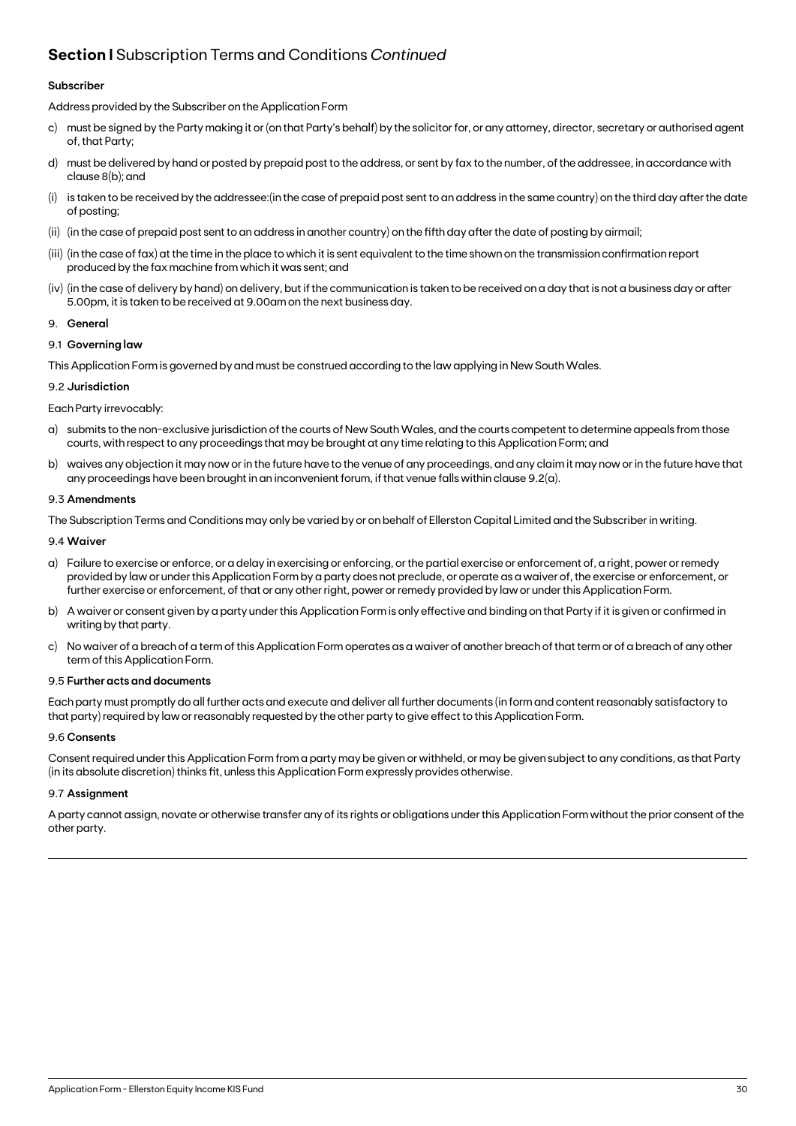### **Section I** Subscription Terms and Conditions *Continued*

#### **Subscriber**

Address provided by the Subscriber on the Application Form

- c) must be signed by the Party making it or (on that Party's behalf) by the solicitor for, or any attorney, director, secretary or authorised agent of, that Party;
- d) must be delivered by hand or posted by prepaid post to the address, or sent by fax to the number, of the addressee, in accordance with clause 8(b); and
- (i) is taken to be received by the addressee:(in the case of prepaid post sent to an address in the same country) on the third day after the date of posting;
- (ii) (in the case of prepaid post sent to an address in another country) on the fifth day after the date of posting by airmail;
- (iii) (in the case of fax) at the time in the place to which it is sent equivalent to the time shown on the transmission confirmation report produced by the fax machine from which it was sent; and
- (iv) (in the case of delivery by hand) on delivery, but if the communication is taken to be received on a day that is not a business day or after 5.00pm, it is taken to be received at 9.00am on the next business day.

#### 9. **General**

#### 9.1 **Governing law**

This Application Form is governed by and must be construed according to the law applying in New South Wales.

#### 9.2 **Jurisdiction**

#### Each Party irrevocably:

- a) submits to the non-exclusive jurisdiction of the courts of New South Wales, and the courts competent to determine appeals from those courts, with respect to any proceedings that may be brought at any time relating to this Application Form; and
- b) waives any objection it may now or in the future have to the venue of any proceedings, and any claim it may now or in the future have that any proceedings have been brought in an inconvenient forum, if that venue falls within clause 9.2(a).

#### 9.3 **Amendments**

The Subscription Terms and Conditions may only be varied by or on behalf of Ellerston Capital Limited and the Subscriber in writing.

#### 9.4 **Waiver**

- a) Failure to exercise or enforce, or a delay in exercising or enforcing, or the partial exercise or enforcement of, a right, power or remedy provided by law or under this Application Form by a party does not preclude, or operate as a waiver of, the exercise or enforcement, or further exercise or enforcement, of that or any other right, power or remedy provided by law or under this Application Form.
- b) A waiver or consent given by a party under this Application Form is only effective and binding on that Party if it is given or confirmed in writing by that party.
- c) No waiver of a breach of a term of this Application Form operates as a waiver of another breach of that term or of a breach of any other term of this Application Form.

#### 9.5 **Further acts and documents**

Each party must promptly do all further acts and execute and deliver all further documents (in form and content reasonably satisfactory to that party) required by law or reasonably requested by the other party to give effect to this Application Form.

#### 9.6 **Consents**

Consent required under this Application Form from a party may be given or withheld, or may be given subject to any conditions, as that Party (in its absolute discretion) thinks fit, unless this Application Form expressly provides otherwise.

#### 9.7 **Assignment**

A party cannot assign, novate or otherwise transfer any of its rights or obligations under this Application Form without the prior consent of the other party.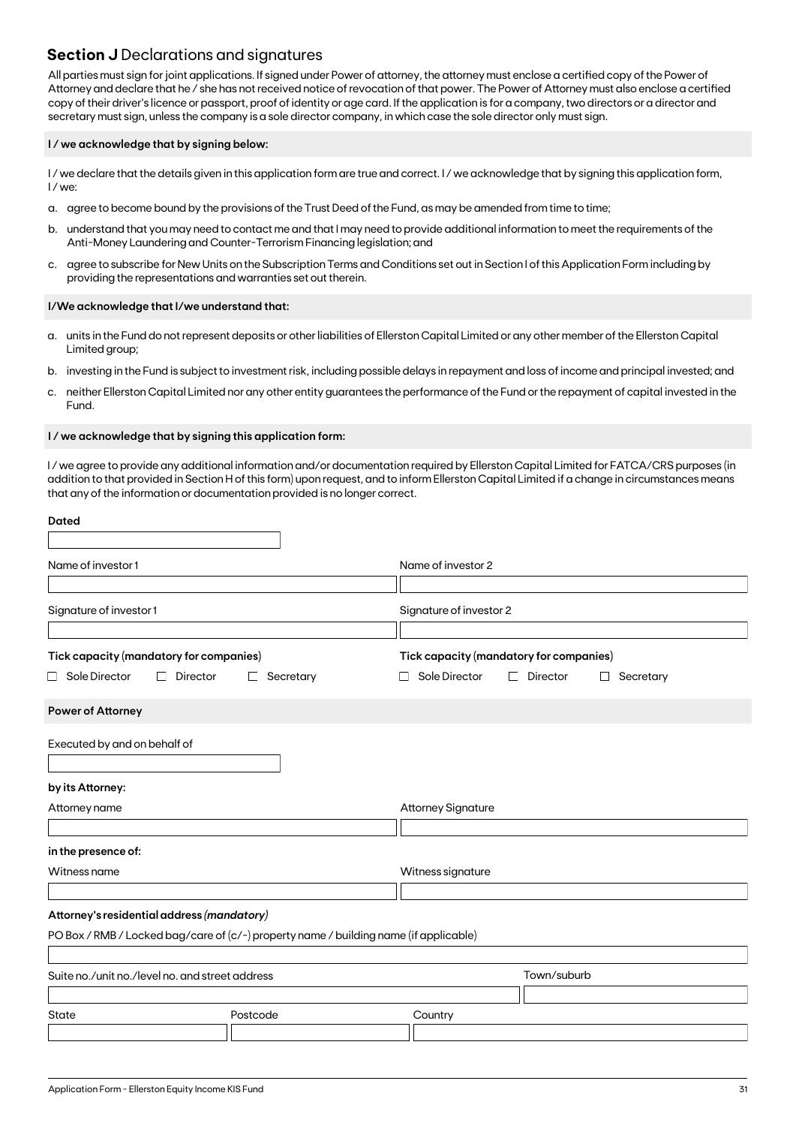### **Section J** Declarations and signatures

All parties must sign for joint applications. If signed under Power of attorney, the attorney must enclose a certified copy of the Power of Attorney and declare that he / she has not received notice of revocation of that power. The Power of Attorney must also enclose a certified copy of their driver's licence or passport, proof of identity or age card. If the application is for a company, two directors or a director and secretary must sign, unless the company is a sole director company, in which case the sole director only must sign.

#### **I / we acknowledge that by signing below:**

I/we declare that the details given in this application form are true and correct. I/we acknowledge that by signing this application form, I / we:

- a. agree to become bound by the provisions of the Trust Deed of the Fund, as may be amended from time to time;
- b. understand that you may need to contact me and that I may need to provide additional information to meet the requirements of the Anti-Money Laundering and Counter-Terrorism Financing legislation; and
- c. agree to subscribe for New Units on the Subscription Terms and Conditions set out in Section I of this Application Form including by providing the representations and warranties set out therein.

#### **I/We acknowledge that I/we understand that:**

- a. units in the Fund do not represent deposits or other liabilities of Ellerston Capital Limited or any other member of the Ellerston Capital Limited group;
- b. investing in the Fund is subject to investment risk, including possible delays in repayment and loss of income and principal invested; and
- c. neither Ellerston Capital Limited nor any other entity guarantees the performance of the Fund or the repayment of capital invested in the Fund.

#### **I / we acknowledge that by signing this application form:**

I / we agree to provide any additional information and/or documentation required by Ellerston Capital Limited for FATCA/CRS purposes (in addition to that provided in Section H of this form) upon request, and to inform Ellerston Capital Limited if a change in circumstances means that any of the information or documentation provided is no longer correct.

| <b>Dated</b>                                    |                                                                                       |                                                            |
|-------------------------------------------------|---------------------------------------------------------------------------------------|------------------------------------------------------------|
| Name of investor 1                              |                                                                                       | Name of investor 2                                         |
|                                                 |                                                                                       |                                                            |
| Signature of investor 1                         |                                                                                       | Signature of investor 2                                    |
| Tick capacity (mandatory for companies)         |                                                                                       | Tick capacity (mandatory for companies)                    |
| $\Box$ Sole Director<br>П                       | Director<br>Secretary<br>⊔                                                            | Sole Director<br>Director<br>$\Box$<br>Secretary<br>$\Box$ |
| Power of Attorney                               |                                                                                       |                                                            |
| Executed by and on behalf of                    |                                                                                       |                                                            |
| by its Attorney:                                |                                                                                       |                                                            |
| Attorney name                                   |                                                                                       | <b>Attorney Signature</b>                                  |
|                                                 |                                                                                       |                                                            |
| in the presence of:                             |                                                                                       |                                                            |
| Witness name                                    |                                                                                       | Witness signature                                          |
|                                                 |                                                                                       |                                                            |
| Attorney's residential address (mandatory)      |                                                                                       |                                                            |
|                                                 | PO Box / RMB / Locked bag/care of (c/-) property name / building name (if applicable) |                                                            |
| Suite no./unit no./level no. and street address |                                                                                       | Town/suburb                                                |
| <b>State</b>                                    | Postcode                                                                              | Country                                                    |
|                                                 |                                                                                       |                                                            |
|                                                 |                                                                                       |                                                            |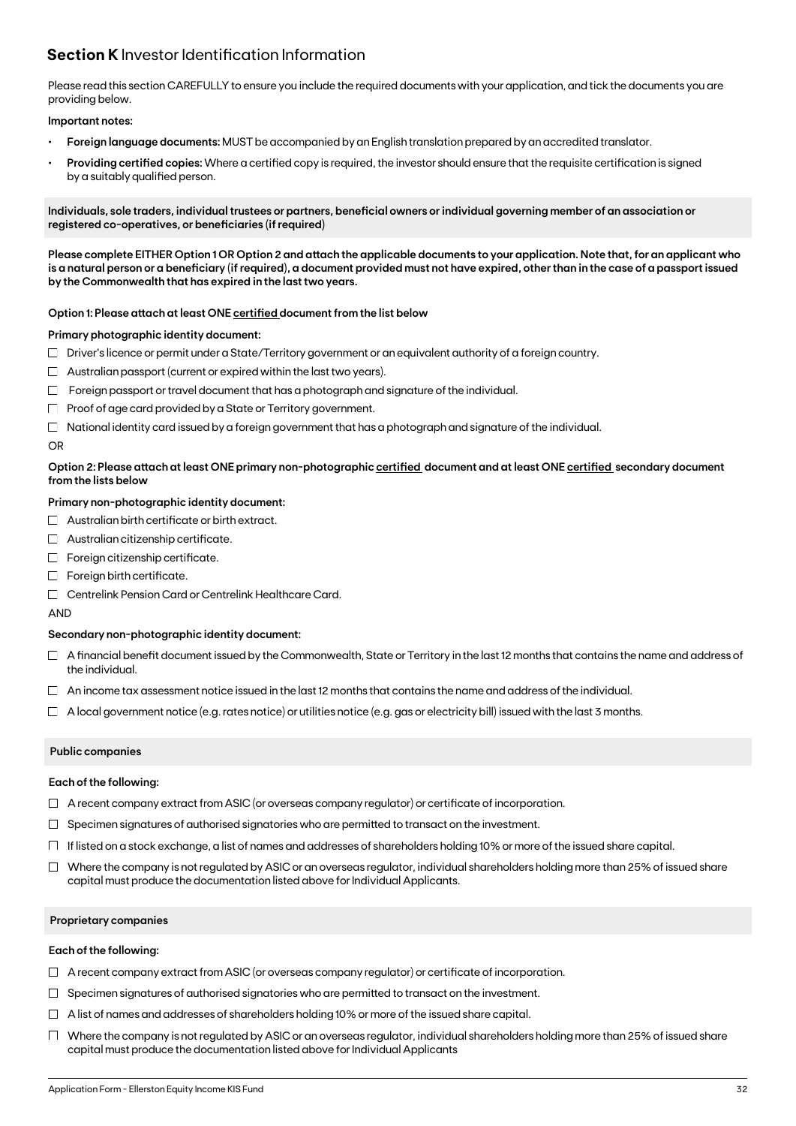### **Section K** Investor Identification Information

Please read this section CAREFULLY to ensure you include the required documents with your application, and tick the documents you are providing below.

#### **Important notes:**

- **• Foreign language documents:** MUST be accompanied by an English translation prepared by an accredited translator.
- **Providing certified copies:** Where a certified copy is required, the investor should ensure that the requisite certification is signed by a suitably qualified person.

**Individuals, sole traders, individual trustees or partners, beneficial owners or individual governing member of an association or registered co-operatives, or beneficiaries (if required)**

**Please complete EITHER Option 1 OR Option 2 and attach the applicable documents to your application. Note that, for an applicant who is a natural person or a beneficiary (if required), a document provided must not have expired, other than in the case of a passport issued by the Commonwealth that has expired in the last two years.**

#### **Option 1: Please attach at least ONE certified document from the list below**

#### **Primary photographic identity document:**

- $\Box$  Driver's licence or permit under a State/Territory government or an equivalent authority of a foreign country.
- $\Box$  Australian passport (current or expired within the last two years).
- $\Box$  Foreign passport or travel document that has a photograph and signature of the individual.
- $\Box$  Proof of age card provided by a State or Territory government.
- $\Box$  National identity card issued by a foreign government that has a photograph and signature of the individual.

#### OR

#### **Option 2: Please attach at least ONE primary non-photographic certified document and at least ONE certified secondary document from the lists below**

#### **Primary non-photographic identity document:**

- $\Box$  Australian birth certificate or birth extract.
- $\Box$  Australian citizenship certificate.
- $\Box$  Foreign citizenship certificate.
- $\Box$  Foreign birth certificate.
- □ Centrelink Pension Card or Centrelink Healthcare Card.

AND

#### **Secondary non-photographic identity document:**

- $\Box$  A financial benefit document issued by the Commonwealth, State or Territory in the last 12 months that contains the name and address of the individual.
- $\Box$  An income tax assessment notice issued in the last 12 months that contains the name and address of the individual.
- $\Box$  A local government notice (e.g. rates notice) or utilities notice (e.g. gas or electricity bill) issued with the last 3 months.

#### **Public companies**

#### **Each of the following:**

- $\Box$  A recent company extract from ASIC (or overseas company regulator) or certificate of incorporation.
- $\Box$  Specimen signatures of authorised signatories who are permitted to transact on the investment.
- $\Box$  If listed on a stock exchange, a list of names and addresses of shareholders holding 10% or more of the issued share capital.
- $\Box$  Where the company is not regulated by ASIC or an overseas regulator, individual shareholders holding more than 25% of issued share capital must produce the documentation listed above for Individual Applicants.

#### **Proprietary companies**

#### **Each of the following:**

- $\Box$  A recent company extract from ASIC (or overseas company regulator) or certificate of incorporation.
- $\Box$  Specimen signatures of authorised signatories who are permitted to transact on the investment.
- $\Box$  A list of names and addresses of shareholders holding 10% or more of the issued share capital.
- $\Box$  Where the company is not regulated by ASIC or an overseas regulator, individual shareholders holding more than 25% of issued share capital must produce the documentation listed above for Individual Applicants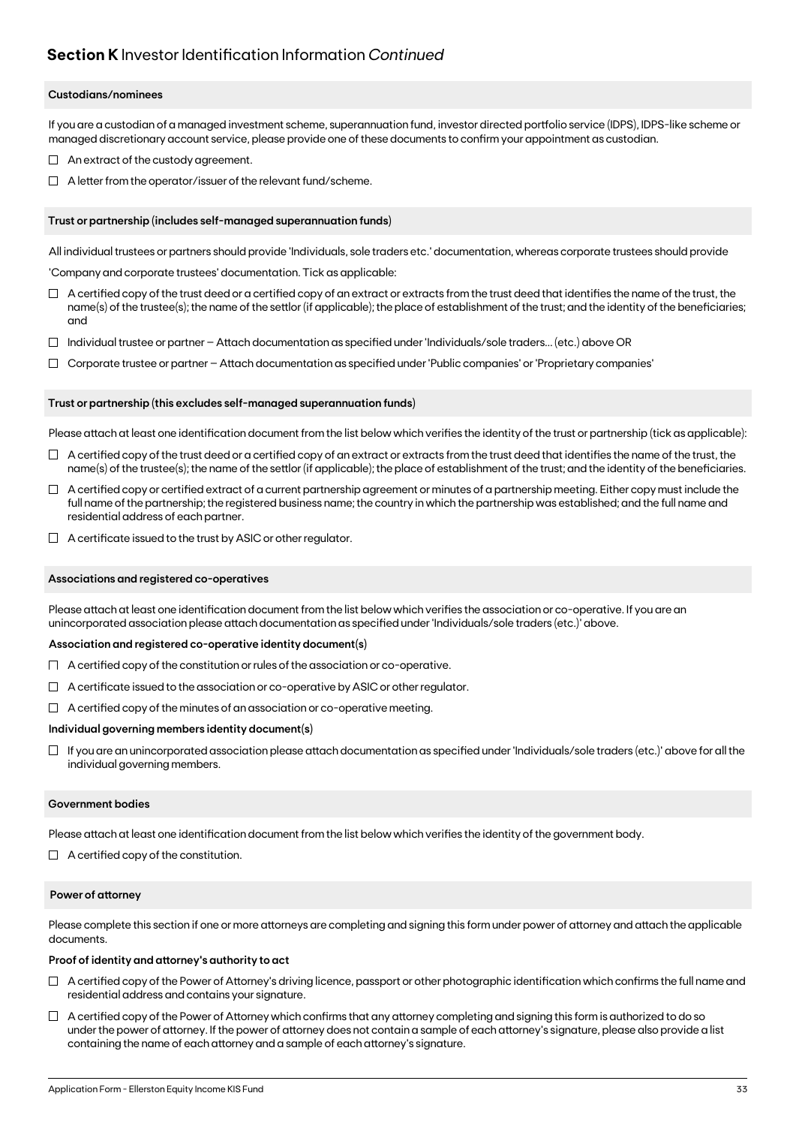### **Section K** Investor Identification Information *Continued*

#### **Custodians/nominees**

If you are a custodian of a managed investment scheme, superannuation fund, investor directed portfolio service (IDPS), IDPS-like scheme or managed discretionary account service, please provide one of these documents to confirm your appointment as custodian.

- $\Box$  An extract of the custody agreement.
- $\Box$  A letter from the operator/issuer of the relevant fund/scheme.

#### **Trust or partnership (includes self-managed superannuation funds)**

All individual trustees or partners should provide 'Individuals, sole traders etc.' documentation, whereas corporate trustees should provide

'Company and corporate trustees' documentation. Tick as applicable:

- $\Box$  A certified copy of the trust deed or a certified copy of an extract or extracts from the trust deed that identifies the name of the trust, the name(s) of the trustee(s); the name of the settlor (if applicable); the place of establishment of the trust; and the identity of the beneficiaries; and
- $\Box$  Individual trustee or partner Attach documentation as specified under 'Individuals/sole traders... (etc.) above OR
- $\Box$ Corporate trustee or partner – Attach documentation as specified under 'Public companies' or 'Proprietary companies'

#### **Trust or partnership (this excludes self-managed superannuation funds)**

Please attach at least one identification document from the list below which verifies the identity of the trust or partnership (tick as applicable):

- $\Box$  A certified copy of the trust deed or a certified copy of an extract or extracts from the trust deed that identifies the name of the trust, the name(s) of the trustee(s); the name of the settlor (if applicable); the place of establishment of the trust; and the identity of the beneficiaries.
- $\Box$  A certified copy or certified extract of a current partnership agreement or minutes of a partnership meeting. Either copy must include the full name of the partnership; the registered business name; the country in which the partnership was established; and the full name and residential address of each partner.
- $\Box$  A certificate issued to the trust by ASIC or other regulator.

#### **Associations and registered co-operatives**

Please attach at least one identification document from the list below which verifies the association or co-operative. If you are an unincorporated association please attach documentation as specified under 'Individuals/sole traders (etc.)' above.

#### **Association and registered co-operative identity document(s)**

- $\Box$  A certified copy of the constitution or rules of the association or co-operative.
- $\Box$  A certificate issued to the association or co-operative by ASIC or other regulator.
- $\Box$  A certified copy of the minutes of an association or co-operative meeting.

#### **Individual governing members identity document(s)**

 $\Box$  If you are an unincorporated association please attach documentation as specified under 'Individuals/sole traders (etc.)' above for all the individual governing members.

#### **Government bodies**

Please attach at least one identification document from the list below which verifies the identity of the government body.

 $\Box$  A certified copy of the constitution.

#### **Power of attorney**

Please complete this section if one or more attorneys are completing and signing this form under power of attorney and attach the applicable documents.

#### **Proof of identity and attorney's authority to act**

- $\Box$  A certified copy of the Power of Attorney's driving licence, passport or other photographic identification which confirms the full name and residential address and contains your signature.
- $\Box$  A certified copy of the Power of Attorney which confirms that any attorney completing and signing this form is authorized to do so under the power of attorney. If the power of attorney does not contain a sample of each attorney's signature, please also provide a list containing the name of each attorney and a sample of each attorney's signature.